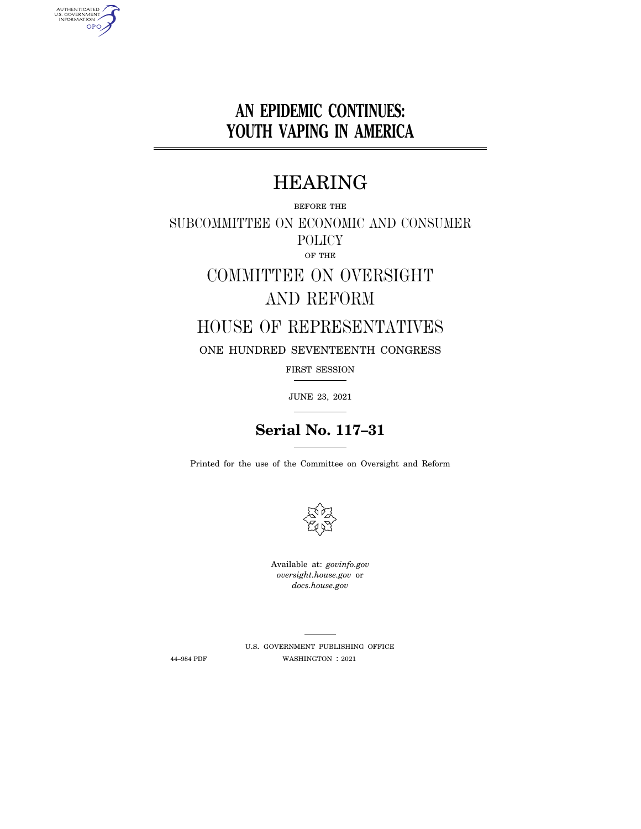# **AN EPIDEMIC CONTINUES: YOUTH VAPING IN AMERICA**

# HEARING

BEFORE THE SUBCOMMITTEE ON ECONOMIC AND CONSUMER POLICY OF THE

# COMMITTEE ON OVERSIGHT AND REFORM

## HOUSE OF REPRESENTATIVES

ONE HUNDRED SEVENTEENTH CONGRESS

FIRST SESSION

JUNE 23, 2021

## **Serial No. 117–31**

Printed for the use of the Committee on Oversight and Reform



Available at: *govinfo.gov oversight.house.gov* or *docs.house.gov* 

AUTHENTICATED<br>U.S. GOVERNMENT<br>INFORMATION **GPO** 

> U.S. GOVERNMENT PUBLISHING OFFICE 44–984 PDF WASHINGTON : 2021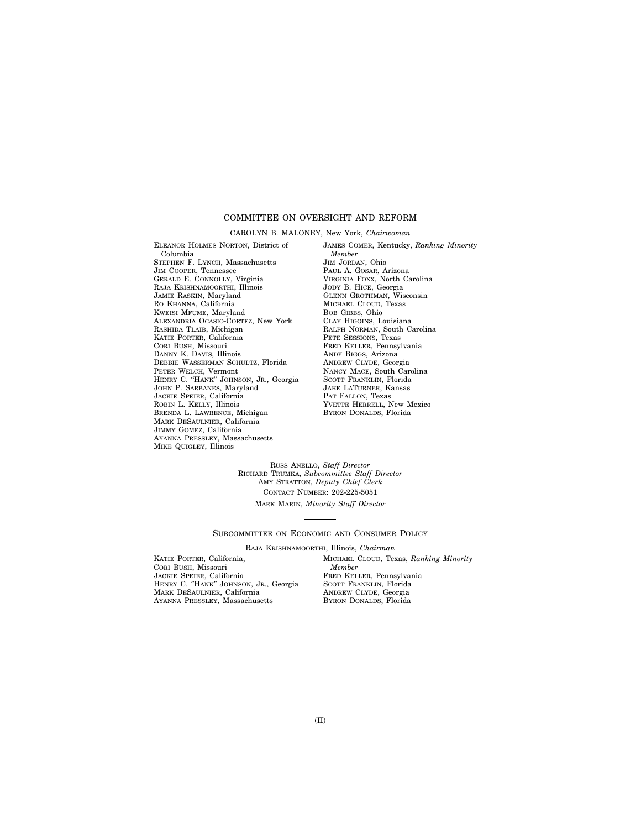### COMMITTEE ON OVERSIGHT AND REFORM

#### CAROLYN B. MALONEY, New York, *Chairwoman*

ELEANOR HOLMES NORTON, District of Columbia STEPHEN F. LYNCH, Massachusetts JIM COOPER, Tennessee GERALD E. CONNOLLY, Virginia RAJA KRISHNAMOORTHI, Illinois JAMIE RASKIN, Maryland RO KHANNA, California KWEISI MFUME, Maryland ALEXANDRIA OCASIO-CORTEZ, New York RASHIDA TLAIB, Michigan KATIE PORTER, California CORI BUSH, Missouri DANNY K. DAVIS, Illinois DEBBIE WASSERMAN SCHULTZ, Florida PETER WELCH, Vermont HENRY C. "HANK" JOHNSON, JR., Georgia JOHN P. SARBANES, Maryland JACKIE SPEIER, California ROBIN L. KELLY, Illinois BRENDA L. LAWRENCE, Michigan MARK DESAULNIER, California JIMMY GOMEZ, California AYANNA PRESSLEY, Massachusetts MIKE QUIGLEY, Illinois

JAMES COMER, Kentucky, *Ranking Minority Member*  JIM JORDAN, Ohio PAUL A. GOSAR, Arizona VIRGINIA FOXX, North Carolina JODY B. HICE, Georgia GLENN GROTHMAN, Wisconsin MICHAEL CLOUD, Texas BOB GIBBS, Ohio CLAY HIGGINS, Louisiana RALPH NORMAN, South Carolina PETE SESSIONS, Texas FRED KELLER, Pennsylvania ANDY BIGGS, Arizona ANDREW CLYDE, Georgia NANCY MACE, South Carolina SCOTT FRANKLIN, Florida JAKE LATURNER, Kansas PAT FALLON, Texas YVETTE HERRELL, New Mexico BYRON DONALDS, Florida

RUSS ANELLO, *Staff Director*  RICHARD TRUMKA, *Subcommittee Staff Director*  AMY STRATTON, *Deputy Chief Clerk*  CONTACT NUMBER: 202-225-5051 MARK MARIN, *Minority Staff Director* 

SUBCOMMITTEE ON ECONOMIC AND CONSUMER POLICY

RAJA KRISHNAMOORTHI, Illinois, *Chairman* 

KATIE PORTER, California, CORI BUSH, Missouri JACKIE SPEIER, California HENRY C. ″HANK″ JOHNSON, JR., Georgia MARK DESAULNIER, California AYANNA PRESSLEY, Massachusetts

MICHAEL CLOUD, Texas, *Ranking Minority Member*  FRED KELLER, Pennsylvania SCOTT FRANKLIN, Florida ANDREW CLYDE, Georgia BYRON DONALDS, Florida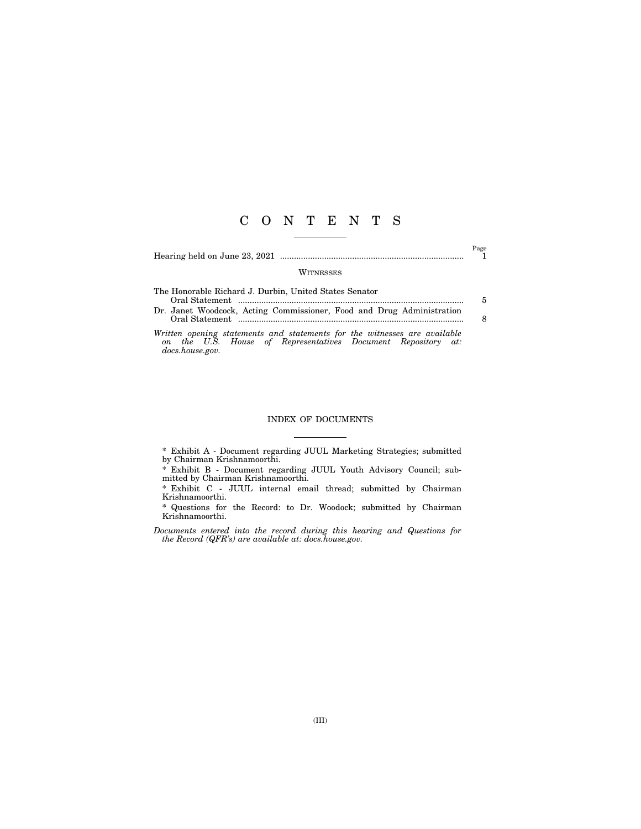### C O N T E N T S

Hearing held on June 23, 2021 ............................................................................... 1

 $\overset{\text{Page}}{1}$ 

#### **WITNESSES**

| The Honorable Richard J. Durbin, United States Senator                |    |
|-----------------------------------------------------------------------|----|
|                                                                       | 5. |
| Dr. Janet Woodcock, Acting Commissioner, Food and Drug Administration |    |
|                                                                       | 8  |
|                                                                       |    |

*Written opening statements and statements for the witnesses are available on the U.S. House of Representatives Document Repository at: docs.house.gov.* 

### INDEX OF DOCUMENTS

\* Exhibit A - Document regarding JUUL Marketing Strategies; submitted by Chairman Krishnamoorthi.

\* Exhibit B - Document regarding JUUL Youth Advisory Council; submitted by Chairman Krishnamoorthi.

\* Exhibit C - JUUL internal email thread; submitted by Chairman Krishnamoorthi.

\* Questions for the Record: to Dr. Woodock; submitted by Chairman Krishnamoorthi.

*Documents entered into the record during this hearing and Questions for the Record (QFR's) are available at: docs.house.gov.*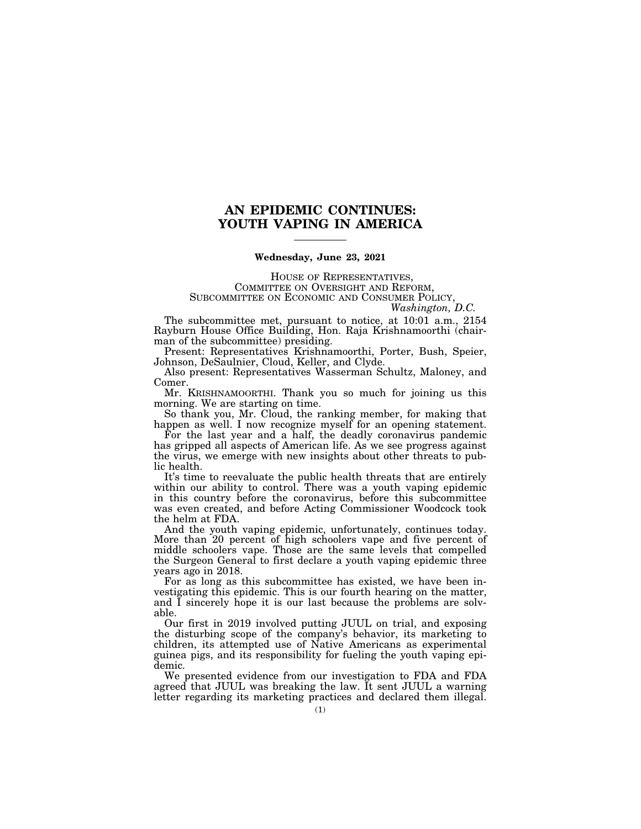### **AN EPIDEMIC CONTINUES: YOUTH VAPING IN AMERICA**

### **Wednesday, June 23, 2021**

HOUSE OF REPRESENTATIVES,<br>COMMITTEE ON OVERSIGHT AND REFORM,<br>SUBCOMMITTEE ON ECONOMIC AND CONSUMER POLICY,<br>*Washington, D.C.* 

The subcommittee met, pursuant to notice, at 10:01 a.m., 2154 Rayburn House Office Building, Hon. Raja Krishnamoorthi (chairman of the subcommittee) presiding.

Present: Representatives Krishnamoorthi, Porter, Bush, Speier, Johnson, DeSaulnier, Cloud, Keller, and Clyde.

Also present: Representatives Wasserman Schultz, Maloney, and Comer.

Mr. KRISHNAMOORTHI. Thank you so much for joining us this morning. We are starting on time.

So thank you, Mr. Cloud, the ranking member, for making that happen as well. I now recognize myself for an opening statement.

For the last year and a half, the deadly coronavirus pandemic has gripped all aspects of American life. As we see progress against the virus, we emerge with new insights about other threats to public health.

It's time to reevaluate the public health threats that are entirely within our ability to control. There was a youth vaping epidemic in this country before the coronavirus, before this subcommittee was even created, and before Acting Commissioner Woodcock took the helm at FDA.

And the youth vaping epidemic, unfortunately, continues today. More than 20 percent of high schoolers vape and five percent of middle schoolers vape. Those are the same levels that compelled the Surgeon General to first declare a youth vaping epidemic three years ago in 2018.

For as long as this subcommittee has existed, we have been investigating this epidemic. This is our fourth hearing on the matter, and I sincerely hope it is our last because the problems are solvable.

Our first in 2019 involved putting JUUL on trial, and exposing the disturbing scope of the company's behavior, its marketing to children, its attempted use of Native Americans as experimental guinea pigs, and its responsibility for fueling the youth vaping epidemic.

We presented evidence from our investigation to FDA and FDA agreed that JUUL was breaking the law. It sent JUUL a warning letter regarding its marketing practices and declared them illegal.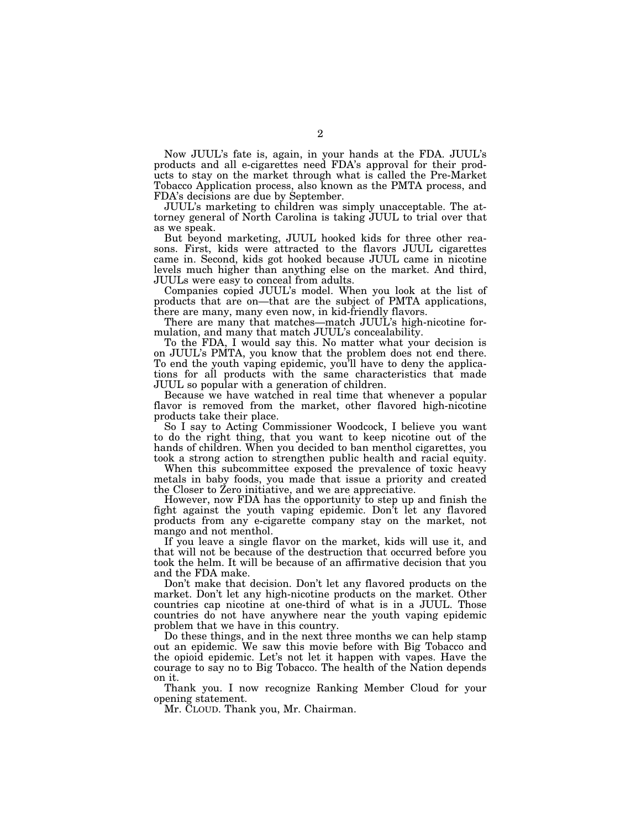Now JUUL's fate is, again, in your hands at the FDA. JUUL's products and all e-cigarettes need FDA's approval for their products to stay on the market through what is called the Pre-Market Tobacco Application process, also known as the PMTA process, and FDA's decisions are due by September.

JUUL's marketing to children was simply unacceptable. The attorney general of North Carolina is taking JUUL to trial over that as we speak.

But beyond marketing, JUUL hooked kids for three other reasons. First, kids were attracted to the flavors JUUL cigarettes came in. Second, kids got hooked because JUUL came in nicotine levels much higher than anything else on the market. And third, JUULs were easy to conceal from adults.

Companies copied JUUL's model. When you look at the list of products that are on—that are the subject of PMTA applications, there are many, many even now, in kid-friendly flavors.

There are many that matches—match JUUL's high-nicotine formulation, and many that match JUUL's concealability.

To the FDA, I would say this. No matter what your decision is on JUUL's PMTA, you know that the problem does not end there. To end the youth vaping epidemic, you'll have to deny the applications for all products with the same characteristics that made JUUL so popular with a generation of children.

Because we have watched in real time that whenever a popular flavor is removed from the market, other flavored high-nicotine products take their place.

So I say to Acting Commissioner Woodcock, I believe you want to do the right thing, that you want to keep nicotine out of the hands of children. When you decided to ban menthol cigarettes, you took a strong action to strengthen public health and racial equity.

When this subcommittee exposed the prevalence of toxic heavy metals in baby foods, you made that issue a priority and created the Closer to Zero initiative, and we are appreciative.

However, now FDA has the opportunity to step up and finish the fight against the youth vaping epidemic. Don't let any flavored products from any e-cigarette company stay on the market, not mango and not menthol.

If you leave a single flavor on the market, kids will use it, and that will not be because of the destruction that occurred before you took the helm. It will be because of an affirmative decision that you and the FDA make.

Don't make that decision. Don't let any flavored products on the market. Don't let any high-nicotine products on the market. Other countries cap nicotine at one-third of what is in a JUUL. Those countries do not have anywhere near the youth vaping epidemic problem that we have in this country.

Do these things, and in the next three months we can help stamp out an epidemic. We saw this movie before with Big Tobacco and the opioid epidemic. Let's not let it happen with vapes. Have the courage to say no to Big Tobacco. The health of the Nation depends on it.

Thank you. I now recognize Ranking Member Cloud for your opening statement.

Mr. CLOUD. Thank you, Mr. Chairman.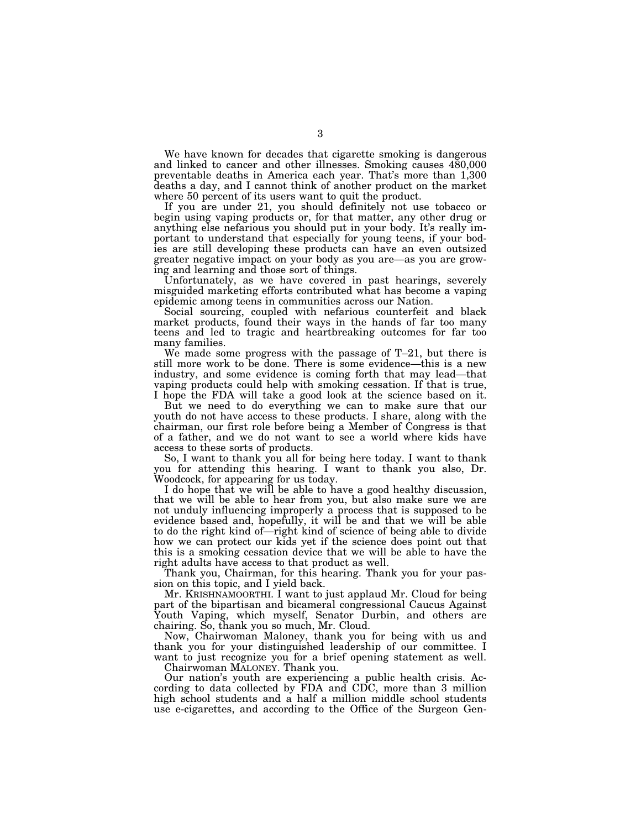We have known for decades that cigarette smoking is dangerous and linked to cancer and other illnesses. Smoking causes 480,000 preventable deaths in America each year. That's more than 1,300 deaths a day, and I cannot think of another product on the market where 50 percent of its users want to quit the product.

If you are under 21, you should definitely not use tobacco or begin using vaping products or, for that matter, any other drug or anything else nefarious you should put in your body. It's really important to understand that especially for young teens, if your bodies are still developing these products can have an even outsized greater negative impact on your body as you are—as you are growing and learning and those sort of things.

Unfortunately, as we have covered in past hearings, severely misguided marketing efforts contributed what has become a vaping epidemic among teens in communities across our Nation.

Social sourcing, coupled with nefarious counterfeit and black market products, found their ways in the hands of far too many teens and led to tragic and heartbreaking outcomes for far too many families.

We made some progress with the passage of T–21, but there is still more work to be done. There is some evidence—this is a new industry, and some evidence is coming forth that may lead—that vaping products could help with smoking cessation. If that is true, I hope the FDA will take a good look at the science based on it.

But we need to do everything we can to make sure that our youth do not have access to these products. I share, along with the chairman, our first role before being a Member of Congress is that of a father, and we do not want to see a world where kids have access to these sorts of products.

So, I want to thank you all for being here today. I want to thank you for attending this hearing. I want to thank you also, Dr. Woodcock, for appearing for us today.

I do hope that we will be able to have a good healthy discussion, that we will be able to hear from you, but also make sure we are not unduly influencing improperly a process that is supposed to be evidence based and, hopefully, it will be and that we will be able to do the right kind of—right kind of science of being able to divide how we can protect our kids yet if the science does point out that this is a smoking cessation device that we will be able to have the right adults have access to that product as well.

Thank you, Chairman, for this hearing. Thank you for your passion on this topic, and I yield back.

Mr. KRISHNAMOORTHI. I want to just applaud Mr. Cloud for being part of the bipartisan and bicameral congressional Caucus Against Youth Vaping, which myself, Senator Durbin, and others are chairing. So, thank you so much, Mr. Cloud.

Now, Chairwoman Maloney, thank you for being with us and thank you for your distinguished leadership of our committee. I want to just recognize you for a brief opening statement as well.

Chairwoman MALONEY. Thank you.

Our nation's youth are experiencing a public health crisis. According to data collected by FDA and CDC, more than 3 million high school students and a half a million middle school students use e-cigarettes, and according to the Office of the Surgeon Gen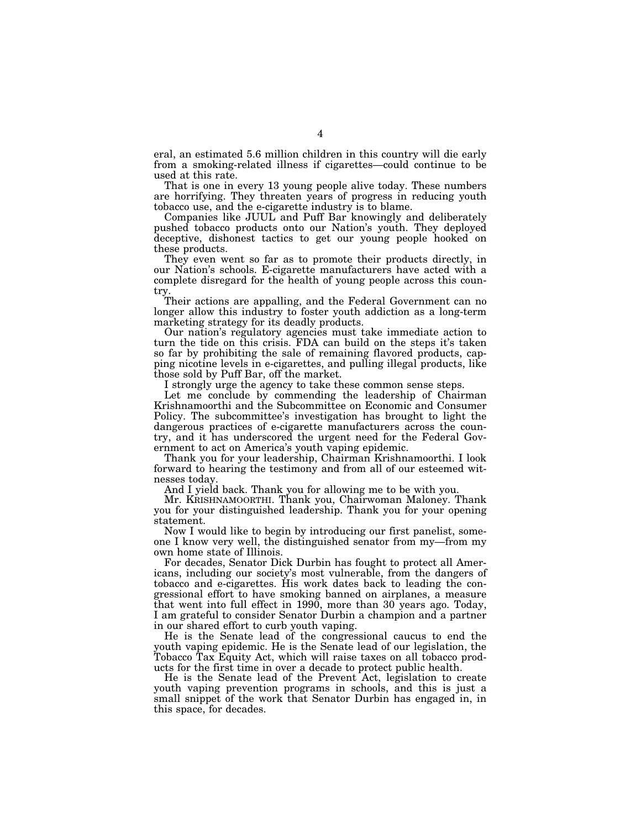eral, an estimated 5.6 million children in this country will die early from a smoking-related illness if cigarettes—could continue to be used at this rate.

That is one in every 13 young people alive today. These numbers are horrifying. They threaten years of progress in reducing youth tobacco use, and the e-cigarette industry is to blame.

Companies like JUUL and Puff Bar knowingly and deliberately pushed tobacco products onto our Nation's youth. They deployed deceptive, dishonest tactics to get our young people hooked on these products.

They even went so far as to promote their products directly, in our Nation's schools. E-cigarette manufacturers have acted with a complete disregard for the health of young people across this country.

Their actions are appalling, and the Federal Government can no longer allow this industry to foster youth addiction as a long-term marketing strategy for its deadly products.

Our nation's regulatory agencies must take immediate action to turn the tide on this crisis. FDA can build on the steps it's taken so far by prohibiting the sale of remaining flavored products, capping nicotine levels in e-cigarettes, and pulling illegal products, like those sold by Puff Bar, off the market.

I strongly urge the agency to take these common sense steps.

Let me conclude by commending the leadership of Chairman Krishnamoorthi and the Subcommittee on Economic and Consumer Policy. The subcommittee's investigation has brought to light the dangerous practices of e-cigarette manufacturers across the country, and it has underscored the urgent need for the Federal Government to act on America's youth vaping epidemic.

Thank you for your leadership, Chairman Krishnamoorthi. I look forward to hearing the testimony and from all of our esteemed witnesses today.

And I yield back. Thank you for allowing me to be with you.

Mr. KRISHNAMOORTHI. Thank you, Chairwoman Maloney. Thank you for your distinguished leadership. Thank you for your opening statement.

Now I would like to begin by introducing our first panelist, someone I know very well, the distinguished senator from my—from my own home state of Illinois.

For decades, Senator Dick Durbin has fought to protect all Americans, including our society's most vulnerable, from the dangers of tobacco and e-cigarettes. His work dates back to leading the congressional effort to have smoking banned on airplanes, a measure that went into full effect in 1990, more than 30 years ago. Today, I am grateful to consider Senator Durbin a champion and a partner in our shared effort to curb youth vaping.

He is the Senate lead of the congressional caucus to end the youth vaping epidemic. He is the Senate lead of our legislation, the Tobacco Tax Equity Act, which will raise taxes on all tobacco products for the first time in over a decade to protect public health.

He is the Senate lead of the Prevent Act, legislation to create youth vaping prevention programs in schools, and this is just a small snippet of the work that Senator Durbin has engaged in, in this space, for decades.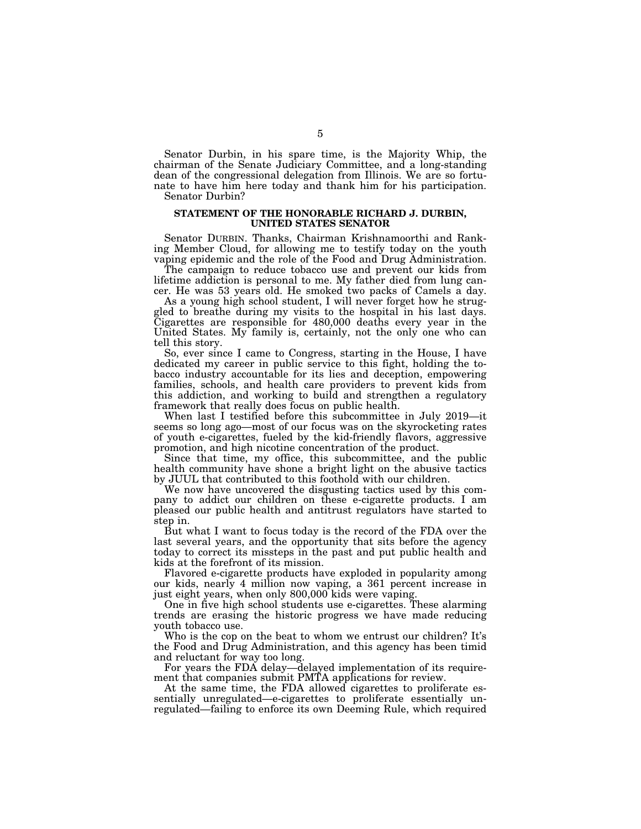Senator Durbin, in his spare time, is the Majority Whip, the chairman of the Senate Judiciary Committee, and a long-standing dean of the congressional delegation from Illinois. We are so fortunate to have him here today and thank him for his participation. Senator Durbin?

### **STATEMENT OF THE HONORABLE RICHARD J. DURBIN, UNITED STATES SENATOR**

Senator DURBIN. Thanks, Chairman Krishnamoorthi and Ranking Member Cloud, for allowing me to testify today on the youth vaping epidemic and the role of the Food and Drug Administration.

The campaign to reduce tobacco use and prevent our kids from lifetime addiction is personal to me. My father died from lung cancer. He was 53 years old. He smoked two packs of Camels a day.

As a young high school student, I will never forget how he struggled to breathe during my visits to the hospital in his last days. Cigarettes are responsible for 480,000 deaths every year in the United States. My family is, certainly, not the only one who can tell this story.

So, ever since I came to Congress, starting in the House, I have dedicated my career in public service to this fight, holding the tobacco industry accountable for its lies and deception, empowering families, schools, and health care providers to prevent kids from this addiction, and working to build and strengthen a regulatory framework that really does focus on public health.

When last I testified before this subcommittee in July 2019—it seems so long ago—most of our focus was on the skyrocketing rates of youth e-cigarettes, fueled by the kid-friendly flavors, aggressive promotion, and high nicotine concentration of the product.

Since that time, my office, this subcommittee, and the public health community have shone a bright light on the abusive tactics by JUUL that contributed to this foothold with our children.

We now have uncovered the disgusting tactics used by this company to addict our children on these e-cigarette products. I am pleased our public health and antitrust regulators have started to step in.

But what I want to focus today is the record of the FDA over the last several years, and the opportunity that sits before the agency today to correct its missteps in the past and put public health and kids at the forefront of its mission.

Flavored e-cigarette products have exploded in popularity among our kids, nearly 4 million now vaping, a 361 percent increase in just eight years, when only 800,000 kids were vaping.

One in five high school students use e-cigarettes. These alarming trends are erasing the historic progress we have made reducing youth tobacco use.

Who is the cop on the beat to whom we entrust our children? It's the Food and Drug Administration, and this agency has been timid and reluctant for way too long.

For years the FDA delay—delayed implementation of its requirement that companies submit PMTA applications for review.

At the same time, the FDA allowed cigarettes to proliferate essentially unregulated—e-cigarettes to proliferate essentially unregulated—failing to enforce its own Deeming Rule, which required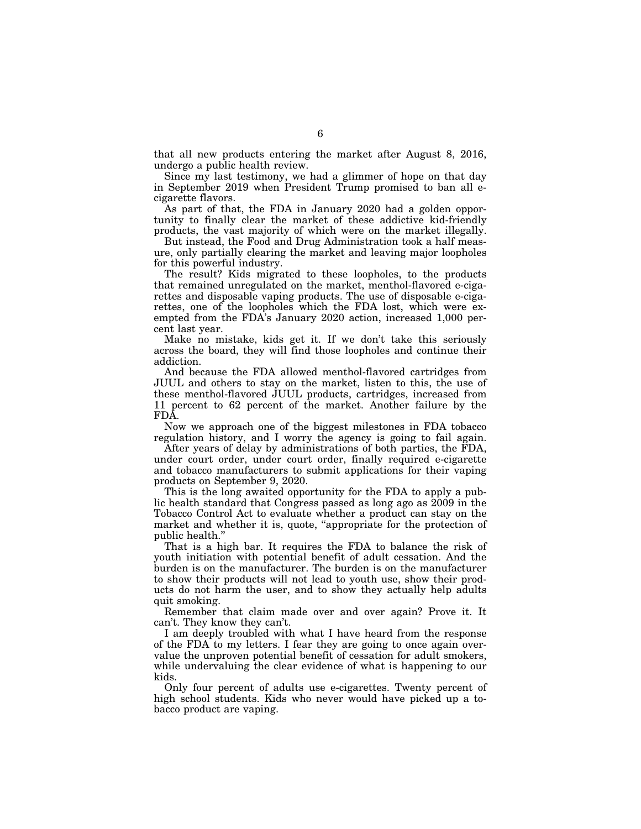that all new products entering the market after August 8, 2016, undergo a public health review.

Since my last testimony, we had a glimmer of hope on that day in September 2019 when President Trump promised to ban all ecigarette flavors.

As part of that, the FDA in January 2020 had a golden opportunity to finally clear the market of these addictive kid-friendly products, the vast majority of which were on the market illegally.

But instead, the Food and Drug Administration took a half measure, only partially clearing the market and leaving major loopholes for this powerful industry.

The result? Kids migrated to these loopholes, to the products that remained unregulated on the market, menthol-flavored e-cigarettes and disposable vaping products. The use of disposable e-cigarettes, one of the loopholes which the FDA lost, which were exempted from the FDA's January 2020 action, increased 1,000 percent last year.

Make no mistake, kids get it. If we don't take this seriously across the board, they will find those loopholes and continue their addiction.

And because the FDA allowed menthol-flavored cartridges from JUUL and others to stay on the market, listen to this, the use of these menthol-flavored JUUL products, cartridges, increased from 11 percent to 62 percent of the market. Another failure by the FDA.

Now we approach one of the biggest milestones in FDA tobacco regulation history, and I worry the agency is going to fail again.

After years of delay by administrations of both parties, the FDA, under court order, under court order, finally required e-cigarette and tobacco manufacturers to submit applications for their vaping products on September 9, 2020.

This is the long awaited opportunity for the FDA to apply a public health standard that Congress passed as long ago as 2009 in the Tobacco Control Act to evaluate whether a product can stay on the market and whether it is, quote, "appropriate for the protection of public health.''

That is a high bar. It requires the FDA to balance the risk of youth initiation with potential benefit of adult cessation. And the burden is on the manufacturer. The burden is on the manufacturer to show their products will not lead to youth use, show their products do not harm the user, and to show they actually help adults quit smoking.

Remember that claim made over and over again? Prove it. It can't. They know they can't.

I am deeply troubled with what I have heard from the response of the FDA to my letters. I fear they are going to once again overvalue the unproven potential benefit of cessation for adult smokers, while undervaluing the clear evidence of what is happening to our kids.

Only four percent of adults use e-cigarettes. Twenty percent of high school students. Kids who never would have picked up a tobacco product are vaping.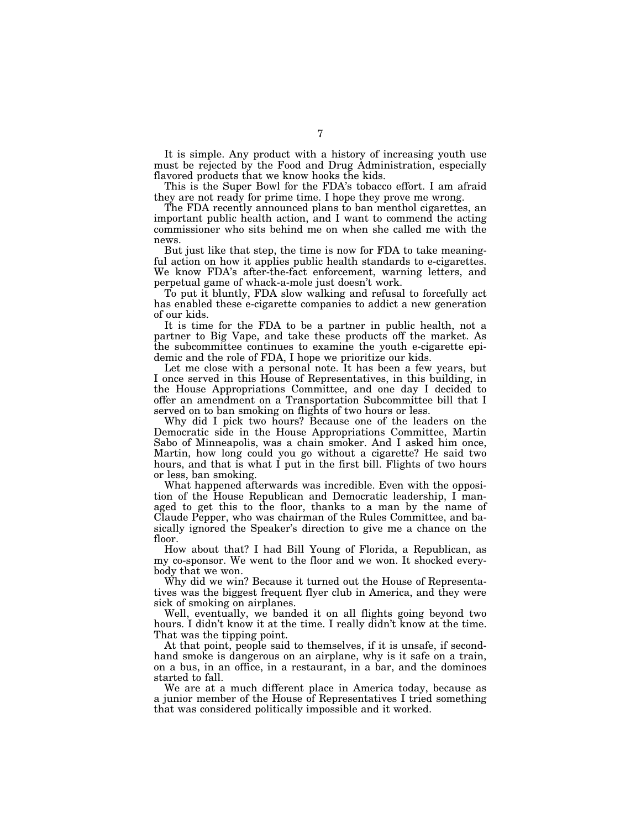It is simple. Any product with a history of increasing youth use must be rejected by the Food and Drug Administration, especially flavored products that we know hooks the kids.

This is the Super Bowl for the FDA's tobacco effort. I am afraid they are not ready for prime time. I hope they prove me wrong.

The FDA recently announced plans to ban menthol cigarettes, an important public health action, and I want to commend the acting commissioner who sits behind me on when she called me with the news.

But just like that step, the time is now for FDA to take meaningful action on how it applies public health standards to e-cigarettes. We know FDA's after-the-fact enforcement, warning letters, and perpetual game of whack-a-mole just doesn't work.

To put it bluntly, FDA slow walking and refusal to forcefully act has enabled these e-cigarette companies to addict a new generation of our kids.

It is time for the FDA to be a partner in public health, not a partner to Big Vape, and take these products off the market. As the subcommittee continues to examine the youth e-cigarette epidemic and the role of FDA, I hope we prioritize our kids.

Let me close with a personal note. It has been a few years, but I once served in this House of Representatives, in this building, in the House Appropriations Committee, and one day I decided to offer an amendment on a Transportation Subcommittee bill that I served on to ban smoking on flights of two hours or less.

Why did I pick two hours? Because one of the leaders on the Democratic side in the House Appropriations Committee, Martin Sabo of Minneapolis, was a chain smoker. And I asked him once, Martin, how long could you go without a cigarette? He said two hours, and that is what I put in the first bill. Flights of two hours or less, ban smoking.

What happened afterwards was incredible. Even with the opposition of the House Republican and Democratic leadership, I managed to get this to the floor, thanks to a man by the name of Claude Pepper, who was chairman of the Rules Committee, and basically ignored the Speaker's direction to give me a chance on the floor.

How about that? I had Bill Young of Florida, a Republican, as my co-sponsor. We went to the floor and we won. It shocked everybody that we won.

Why did we win? Because it turned out the House of Representatives was the biggest frequent flyer club in America, and they were sick of smoking on airplanes.

Well, eventually, we banded it on all flights going beyond two hours. I didn't know it at the time. I really didn't know at the time. That was the tipping point.

At that point, people said to themselves, if it is unsafe, if secondhand smoke is dangerous on an airplane, why is it safe on a train, on a bus, in an office, in a restaurant, in a bar, and the dominoes started to fall.

We are at a much different place in America today, because as a junior member of the House of Representatives I tried something that was considered politically impossible and it worked.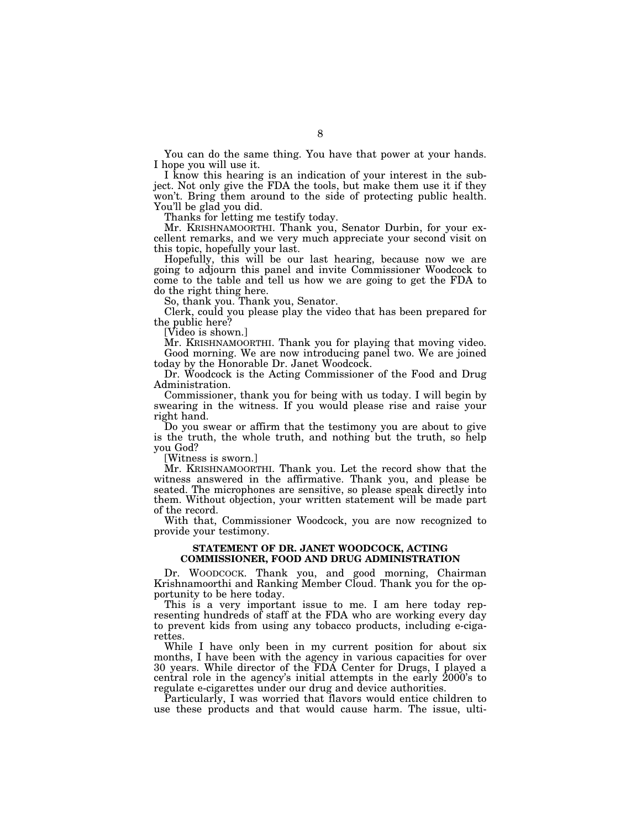You can do the same thing. You have that power at your hands. I hope you will use it.

I know this hearing is an indication of your interest in the subject. Not only give the FDA the tools, but make them use it if they won't. Bring them around to the side of protecting public health. You'll be glad you did.

Thanks for letting me testify today.

Mr. KRISHNAMOORTHI. Thank you, Senator Durbin, for your excellent remarks, and we very much appreciate your second visit on this topic, hopefully your last.

Hopefully, this will be our last hearing, because now we are going to adjourn this panel and invite Commissioner Woodcock to come to the table and tell us how we are going to get the FDA to do the right thing here.

So, thank you. Thank you, Senator.

Clerk, could you please play the video that has been prepared for the public here?

[Video is shown.]

Mr. KRISHNAMOORTHI. Thank you for playing that moving video. Good morning. We are now introducing panel two. We are joined today by the Honorable Dr. Janet Woodcock.

Dr. Woodcock is the Acting Commissioner of the Food and Drug Administration.

Commissioner, thank you for being with us today. I will begin by swearing in the witness. If you would please rise and raise your right hand.

Do you swear or affirm that the testimony you are about to give is the truth, the whole truth, and nothing but the truth, so help you God?

[Witness is sworn.]

Mr. KRISHNAMOORTHI. Thank you. Let the record show that the witness answered in the affirmative. Thank you, and please be seated. The microphones are sensitive, so please speak directly into them. Without objection, your written statement will be made part of the record.

With that, Commissioner Woodcock, you are now recognized to provide your testimony.

### **STATEMENT OF DR. JANET WOODCOCK, ACTING COMMISSIONER, FOOD AND DRUG ADMINISTRATION**

Dr. WOODCOCK. Thank you, and good morning, Chairman Krishnamoorthi and Ranking Member Cloud. Thank you for the opportunity to be here today.

This is a very important issue to me. I am here today representing hundreds of staff at the FDA who are working every day to prevent kids from using any tobacco products, including e-cigarettes.

While I have only been in my current position for about six months, I have been with the agency in various capacities for over 30 years. While director of the FDA Center for Drugs, I played a central role in the agency's initial attempts in the early 2000's to regulate e-cigarettes under our drug and device authorities.

Particularly, I was worried that flavors would entice children to use these products and that would cause harm. The issue, ulti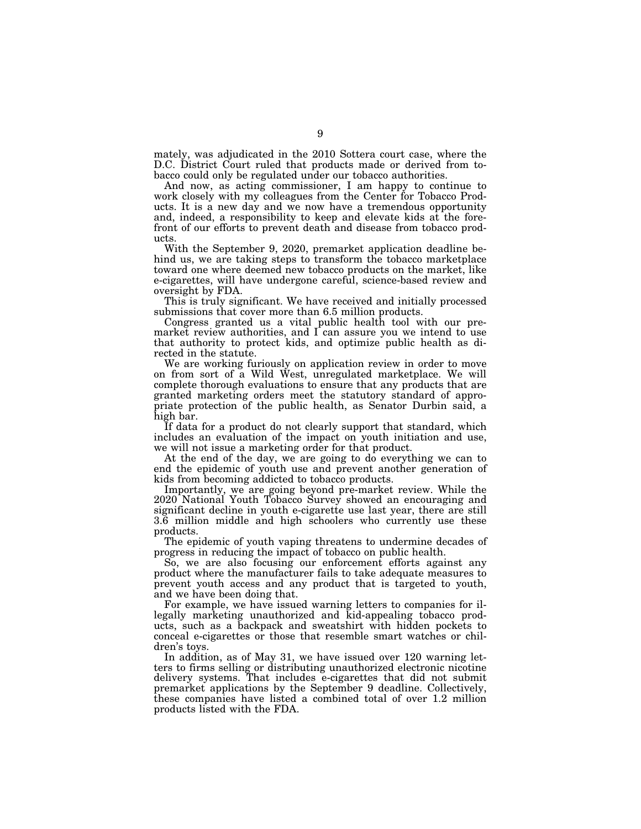mately, was adjudicated in the 2010 Sottera court case, where the D.C. District Court ruled that products made or derived from tobacco could only be regulated under our tobacco authorities.

And now, as acting commissioner, I am happy to continue to work closely with my colleagues from the Center for Tobacco Products. It is a new day and we now have a tremendous opportunity and, indeed, a responsibility to keep and elevate kids at the forefront of our efforts to prevent death and disease from tobacco products.

With the September 9, 2020, premarket application deadline behind us, we are taking steps to transform the tobacco marketplace toward one where deemed new tobacco products on the market, like e-cigarettes, will have undergone careful, science-based review and oversight by FDA.

This is truly significant. We have received and initially processed submissions that cover more than 6.5 million products.

Congress granted us a vital public health tool with our premarket review authorities, and I can assure you we intend to use that authority to protect kids, and optimize public health as directed in the statute.

We are working furiously on application review in order to move on from sort of a Wild West, unregulated marketplace. We will complete thorough evaluations to ensure that any products that are granted marketing orders meet the statutory standard of appropriate protection of the public health, as Senator Durbin said, a high bar.

If data for a product do not clearly support that standard, which includes an evaluation of the impact on youth initiation and use, we will not issue a marketing order for that product.

At the end of the day, we are going to do everything we can to end the epidemic of youth use and prevent another generation of kids from becoming addicted to tobacco products.

Importantly, we are going beyond pre-market review. While the 2020 National Youth Tobacco Survey showed an encouraging and significant decline in youth e-cigarette use last year, there are still 3.6 million middle and high schoolers who currently use these products.

The epidemic of youth vaping threatens to undermine decades of progress in reducing the impact of tobacco on public health.

So, we are also focusing our enforcement efforts against any product where the manufacturer fails to take adequate measures to prevent youth access and any product that is targeted to youth, and we have been doing that.

For example, we have issued warning letters to companies for illegally marketing unauthorized and kid-appealing tobacco products, such as a backpack and sweatshirt with hidden pockets to conceal e-cigarettes or those that resemble smart watches or children's toys.

In addition, as of May 31, we have issued over 120 warning letters to firms selling or distributing unauthorized electronic nicotine delivery systems. That includes e-cigarettes that did not submit premarket applications by the September 9 deadline. Collectively, these companies have listed a combined total of over 1.2 million products listed with the FDA.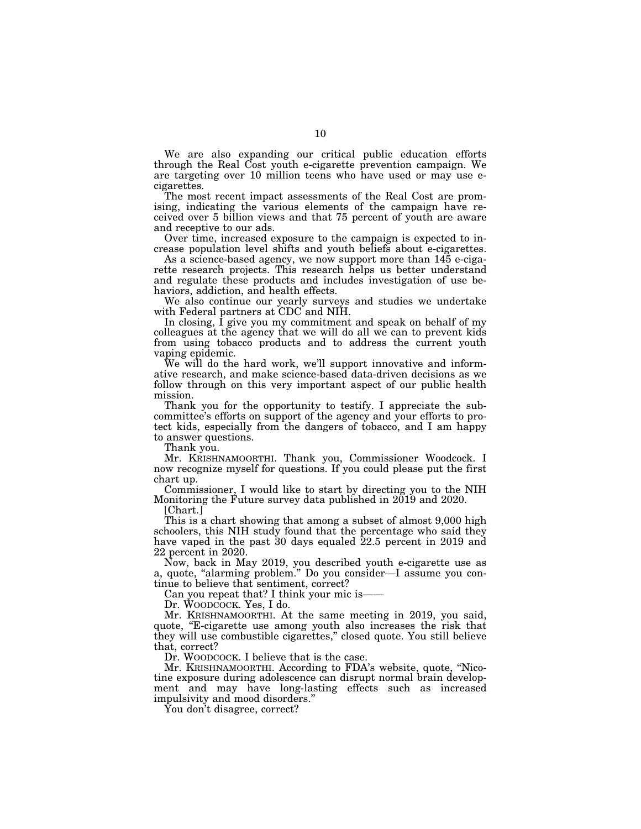We are also expanding our critical public education efforts through the Real Cost youth e-cigarette prevention campaign. We are targeting over 10 million teens who have used or may use ecigarettes.

The most recent impact assessments of the Real Cost are promising, indicating the various elements of the campaign have received over 5 billion views and that 75 percent of youth are aware and receptive to our ads.

Over time, increased exposure to the campaign is expected to increase population level shifts and youth beliefs about e-cigarettes.

As a science-based agency, we now support more than 145 e-cigarette research projects. This research helps us better understand and regulate these products and includes investigation of use behaviors, addiction, and health effects.

We also continue our yearly surveys and studies we undertake with Federal partners at CDC and NIH.

In closing, I give you my commitment and speak on behalf of my colleagues at the agency that we will do all we can to prevent kids from using tobacco products and to address the current youth vaping epidemic.

We will do the hard work, we'll support innovative and informative research, and make science-based data-driven decisions as we follow through on this very important aspect of our public health mission.

Thank you for the opportunity to testify. I appreciate the subcommittee's efforts on support of the agency and your efforts to protect kids, especially from the dangers of tobacco, and I am happy to answer questions.

Thank you.

Mr. KRISHNAMOORTHI. Thank you, Commissioner Woodcock. I now recognize myself for questions. If you could please put the first chart up.

Commissioner, I would like to start by directing you to the NIH Monitoring the Future survey data published in 2019 and 2020.

[Chart.]

This is a chart showing that among a subset of almost 9,000 high schoolers, this NIH study found that the percentage who said they have vaped in the past 30 days equaled 22.5 percent in 2019 and 22 percent in 2020.

Now, back in May 2019, you described youth e-cigarette use as a, quote, "alarming problem." Do you consider—I assume you continue to believe that sentiment, correct?

Can you repeat that? I think your mic is-

Dr. WOODCOCK. Yes, I do.

Mr. KRISHNAMOORTHI. At the same meeting in 2019, you said, quote, "E-cigarette use among youth also increases the risk that they will use combustible cigarettes,'' closed quote. You still believe that, correct?

Dr. WOODCOCK. I believe that is the case.

Mr. KRISHNAMOORTHI. According to FDA's website, quote, ''Nicotine exposure during adolescence can disrupt normal brain development and may have long-lasting effects such as increased impulsivity and mood disorders.''

You don't disagree, correct?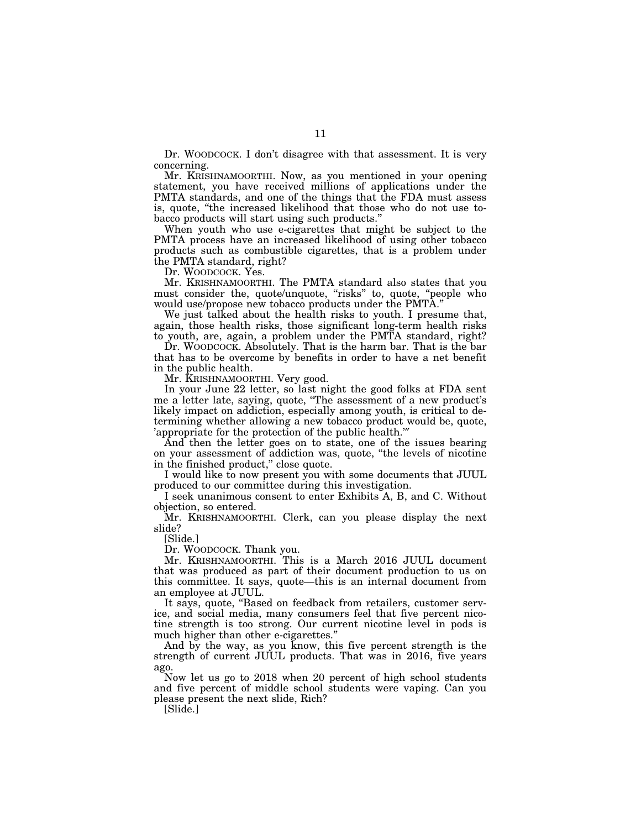Dr. WOODCOCK. I don't disagree with that assessment. It is very concerning.

Mr. KRISHNAMOORTHI. Now, as you mentioned in your opening statement, you have received millions of applications under the PMTA standards, and one of the things that the FDA must assess is, quote, ''the increased likelihood that those who do not use tobacco products will start using such products.''

When youth who use e-cigarettes that might be subject to the PMTA process have an increased likelihood of using other tobacco products such as combustible cigarettes, that is a problem under the PMTA standard, right?

Dr. WOODCOCK. Yes.

Mr. KRISHNAMOORTHI. The PMTA standard also states that you must consider the, quote/unquote, ''risks'' to, quote, ''people who would use/propose new tobacco products under the PMTA.''

We just talked about the health risks to youth. I presume that, again, those health risks, those significant long-term health risks to youth, are, again, a problem under the PMTA standard, right?

Dr. WOODCOCK. Absolutely. That is the harm bar. That is the bar that has to be overcome by benefits in order to have a net benefit in the public health.

Mr. KRISHNAMOORTHI. Very good.

In your June 22 letter, so last night the good folks at FDA sent me a letter late, saying, quote, ''The assessment of a new product's likely impact on addiction, especially among youth, is critical to determining whether allowing a new tobacco product would be, quote, 'appropriate for the protection of the public health.'″

And then the letter goes on to state, one of the issues bearing on your assessment of addiction was, quote, ''the levels of nicotine in the finished product,'' close quote.

I would like to now present you with some documents that JUUL produced to our committee during this investigation.

I seek unanimous consent to enter Exhibits A, B, and C. Without objection, so entered.

Mr. KRISHNAMOORTHI. Clerk, can you please display the next slide?

[Slide.]

Dr. WOODCOCK. Thank you.

Mr. KRISHNAMOORTHI. This is a March 2016 JUUL document that was produced as part of their document production to us on this committee. It says, quote—this is an internal document from an employee at JUUL.

It says, quote, "Based on feedback from retailers, customer service, and social media, many consumers feel that five percent nicotine strength is too strong. Our current nicotine level in pods is much higher than other e-cigarettes.''

And by the way, as you know, this five percent strength is the strength of current JUUL products. That was in 2016, five years ago.

Now let us go to 2018 when 20 percent of high school students and five percent of middle school students were vaping. Can you please present the next slide, Rich?

[Slide.]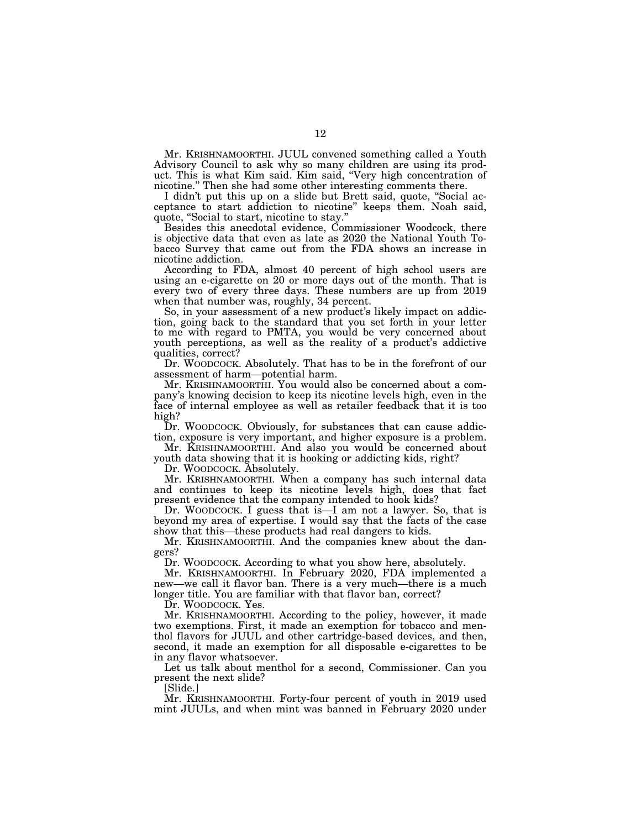Mr. KRISHNAMOORTHI. JUUL convened something called a Youth Advisory Council to ask why so many children are using its product. This is what Kim said. Kim said, ''Very high concentration of nicotine.'' Then she had some other interesting comments there.

I didn't put this up on a slide but Brett said, quote, ''Social acceptance to start addiction to nicotine'' keeps them. Noah said, quote, ''Social to start, nicotine to stay.''

Besides this anecdotal evidence, Commissioner Woodcock, there is objective data that even as late as 2020 the National Youth Tobacco Survey that came out from the FDA shows an increase in nicotine addiction.

According to FDA, almost 40 percent of high school users are using an e-cigarette on 20 or more days out of the month. That is every two of every three days. These numbers are up from 2019 when that number was, roughly, 34 percent.

So, in your assessment of a new product's likely impact on addiction, going back to the standard that you set forth in your letter to me with regard to PMTA, you would be very concerned about youth perceptions, as well as the reality of a product's addictive qualities, correct?

Dr. WOODCOCK. Absolutely. That has to be in the forefront of our assessment of harm—potential harm.

Mr. KRISHNAMOORTHI. You would also be concerned about a company's knowing decision to keep its nicotine levels high, even in the face of internal employee as well as retailer feedback that it is too high?

Dr. WOODCOCK. Obviously, for substances that can cause addiction, exposure is very important, and higher exposure is a problem.

Mr. KRISHNAMOORTHI. And also you would be concerned about youth data showing that it is hooking or addicting kids, right?

Dr. WOODCOCK. Absolutely.

Mr. KRISHNAMOORTHI. When a company has such internal data and continues to keep its nicotine levels high, does that fact present evidence that the company intended to hook kids?

Dr. WOODCOCK. I guess that is—I am not a lawyer. So, that is beyond my area of expertise. I would say that the facts of the case show that this—these products had real dangers to kids.

Mr. KRISHNAMOORTHI. And the companies knew about the dangers?

Dr. WOODCOCK. According to what you show here, absolutely.

Mr. KRISHNAMOORTHI. In February 2020, FDA implemented a new—we call it flavor ban. There is a very much—there is a much longer title. You are familiar with that flavor ban, correct?

Dr. WOODCOCK. Yes.

Mr. KRISHNAMOORTHI. According to the policy, however, it made two exemptions. First, it made an exemption for tobacco and menthol flavors for JUUL and other cartridge-based devices, and then, second, it made an exemption for all disposable e-cigarettes to be in any flavor whatsoever.

Let us talk about menthol for a second, Commissioner. Can you present the next slide?

[Slide.]

Mr. KRISHNAMOORTHI. Forty-four percent of youth in 2019 used mint JUULs, and when mint was banned in February 2020 under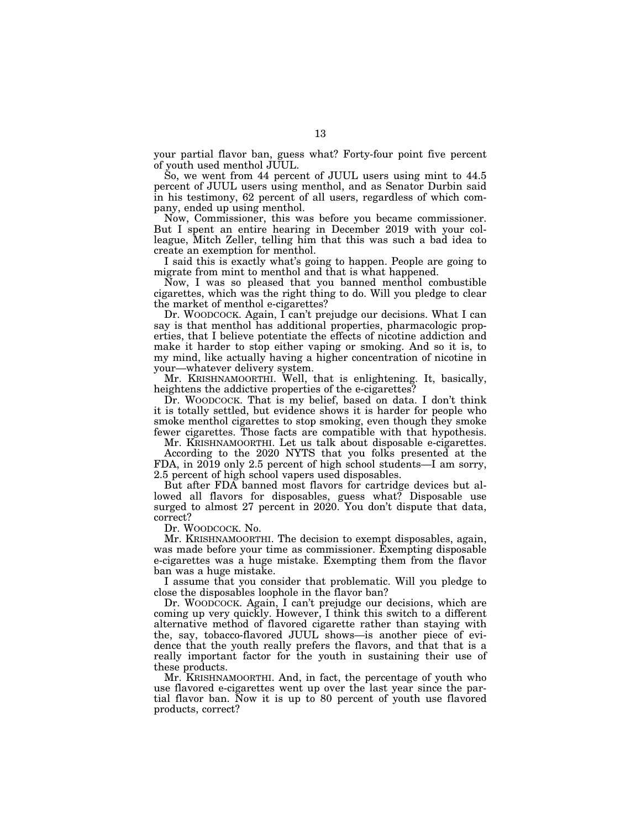your partial flavor ban, guess what? Forty-four point five percent of youth used menthol JUUL.

So, we went from 44 percent of JUUL users using mint to 44.5 percent of JUUL users using menthol, and as Senator Durbin said in his testimony, 62 percent of all users, regardless of which company, ended up using menthol.

Now, Commissioner, this was before you became commissioner. But I spent an entire hearing in December 2019 with your colleague, Mitch Zeller, telling him that this was such a bad idea to create an exemption for menthol.

I said this is exactly what's going to happen. People are going to migrate from mint to menthol and that is what happened.

Now, I was so pleased that you banned menthol combustible cigarettes, which was the right thing to do. Will you pledge to clear the market of menthol e-cigarettes?

Dr. WOODCOCK. Again, I can't prejudge our decisions. What I can say is that menthol has additional properties, pharmacologic properties, that I believe potentiate the effects of nicotine addiction and make it harder to stop either vaping or smoking. And so it is, to my mind, like actually having a higher concentration of nicotine in your—whatever delivery system.

Mr. KRISHNAMOORTHI. Well, that is enlightening. It, basically, heightens the addictive properties of the e-cigarettes?

Dr. WOODCOCK. That is my belief, based on data. I don't think it is totally settled, but evidence shows it is harder for people who smoke menthol cigarettes to stop smoking, even though they smoke fewer cigarettes. Those facts are compatible with that hypothesis.

Mr. KRISHNAMOORTHI. Let us talk about disposable e-cigarettes. According to the 2020 NYTS that you folks presented at the FDA, in 2019 only 2.5 percent of high school students—I am sorry, 2.5 percent of high school vapers used disposables.

But after FDA banned most flavors for cartridge devices but allowed all flavors for disposables, guess what? Disposable use surged to almost 27 percent in 2020. You don't dispute that data, correct?

Dr. WOODCOCK. No.

Mr. KRISHNAMOORTHI. The decision to exempt disposables, again, was made before your time as commissioner. Exempting disposable e-cigarettes was a huge mistake. Exempting them from the flavor ban was a huge mistake.

I assume that you consider that problematic. Will you pledge to close the disposables loophole in the flavor ban?

Dr. WOODCOCK. Again, I can't prejudge our decisions, which are coming up very quickly. However, I think this switch to a different alternative method of flavored cigarette rather than staying with the, say, tobacco-flavored JUUL shows—is another piece of evidence that the youth really prefers the flavors, and that that is a really important factor for the youth in sustaining their use of these products.

Mr. KRISHNAMOORTHI. And, in fact, the percentage of youth who use flavored e-cigarettes went up over the last year since the partial flavor ban. Now it is up to 80 percent of youth use flavored products, correct?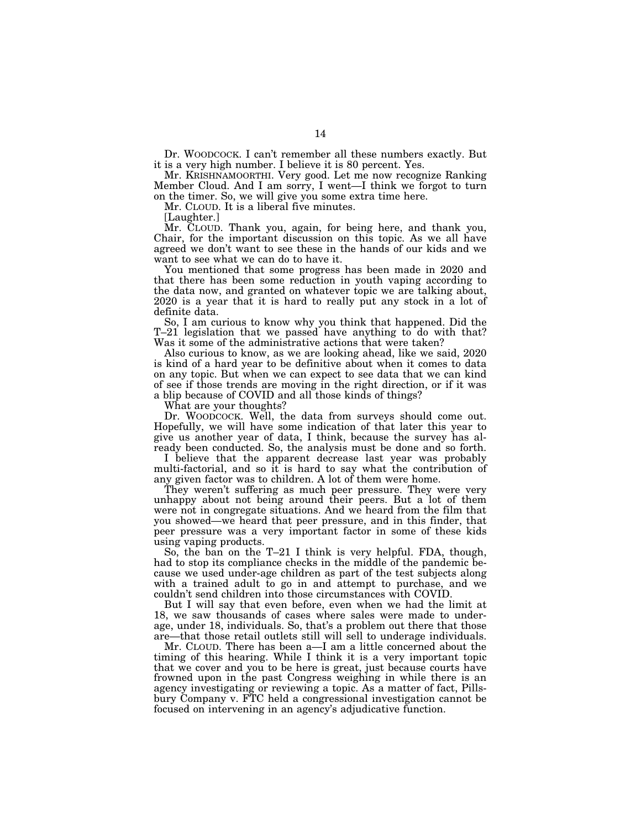Dr. WOODCOCK. I can't remember all these numbers exactly. But it is a very high number. I believe it is 80 percent. Yes.

Mr. KRISHNAMOORTHI. Very good. Let me now recognize Ranking Member Cloud. And I am sorry, I went—I think we forgot to turn on the timer. So, we will give you some extra time here.

Mr. CLOUD. It is a liberal five minutes.

[Laughter.]

Mr. CLOUD. Thank you, again, for being here, and thank you, Chair, for the important discussion on this topic. As we all have agreed we don't want to see these in the hands of our kids and we want to see what we can do to have it.

You mentioned that some progress has been made in 2020 and that there has been some reduction in youth vaping according to the data now, and granted on whatever topic we are talking about, 2020 is a year that it is hard to really put any stock in a lot of definite data.

So, I am curious to know why you think that happened. Did the T–21 legislation that we passed have anything to do with that? Was it some of the administrative actions that were taken?

Also curious to know, as we are looking ahead, like we said, 2020 is kind of a hard year to be definitive about when it comes to data on any topic. But when we can expect to see data that we can kind of see if those trends are moving in the right direction, or if it was a blip because of COVID and all those kinds of things?

What are your thoughts?

Dr. WOODCOCK. Well, the data from surveys should come out. Hopefully, we will have some indication of that later this year to give us another year of data, I think, because the survey has already been conducted. So, the analysis must be done and so forth.

I believe that the apparent decrease last year was probably multi-factorial, and so it is hard to say what the contribution of any given factor was to children. A lot of them were home.

They weren't suffering as much peer pressure. They were very unhappy about not being around their peers. But a lot of them were not in congregate situations. And we heard from the film that you showed—we heard that peer pressure, and in this finder, that peer pressure was a very important factor in some of these kids using vaping products.

So, the ban on the T–21 I think is very helpful. FDA, though, had to stop its compliance checks in the middle of the pandemic because we used under-age children as part of the test subjects along with a trained adult to go in and attempt to purchase, and we couldn't send children into those circumstances with COVID.

But I will say that even before, even when we had the limit at 18, we saw thousands of cases where sales were made to underage, under 18, individuals. So, that's a problem out there that those are—that those retail outlets still will sell to underage individuals.

Mr. CLOUD. There has been a—I am a little concerned about the timing of this hearing. While I think it is a very important topic that we cover and you to be here is great, just because courts have frowned upon in the past Congress weighing in while there is an agency investigating or reviewing a topic. As a matter of fact, Pillsbury Company v. FTC held a congressional investigation cannot be focused on intervening in an agency's adjudicative function.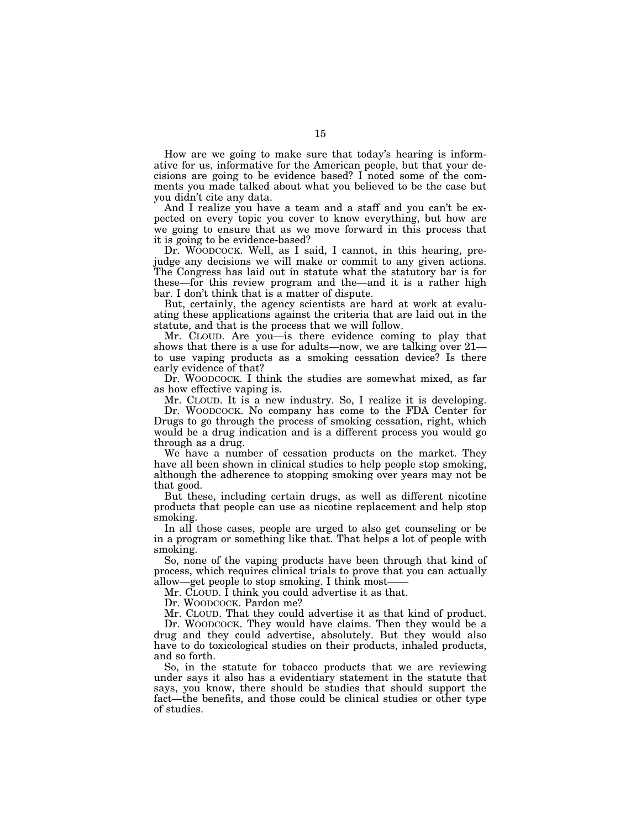How are we going to make sure that today's hearing is informative for us, informative for the American people, but that your decisions are going to be evidence based? I noted some of the comments you made talked about what you believed to be the case but you didn't cite any data.

And I realize you have a team and a staff and you can't be expected on every topic you cover to know everything, but how are we going to ensure that as we move forward in this process that it is going to be evidence-based?

Dr. WOODCOCK. Well, as I said, I cannot, in this hearing, prejudge any decisions we will make or commit to any given actions. The Congress has laid out in statute what the statutory bar is for these—for this review program and the—and it is a rather high bar. I don't think that is a matter of dispute.

But, certainly, the agency scientists are hard at work at evaluating these applications against the criteria that are laid out in the statute, and that is the process that we will follow.

Mr. CLOUD. Are you—is there evidence coming to play that shows that there is a use for adults—now, we are talking over 21 to use vaping products as a smoking cessation device? Is there early evidence of that?

Dr. WOODCOCK. I think the studies are somewhat mixed, as far as how effective vaping is.

Mr. CLOUD. It is a new industry. So, I realize it is developing. Dr. WOODCOCK. No company has come to the FDA Center for Drugs to go through the process of smoking cessation, right, which

would be a drug indication and is a different process you would go through as a drug. We have a number of cessation products on the market. They

have all been shown in clinical studies to help people stop smoking, although the adherence to stopping smoking over years may not be that good.

But these, including certain drugs, as well as different nicotine products that people can use as nicotine replacement and help stop smoking.

In all those cases, people are urged to also get counseling or be in a program or something like that. That helps a lot of people with smoking.

So, none of the vaping products have been through that kind of process, which requires clinical trials to prove that you can actually allow—get people to stop smoking. I think most-

Mr. CLOUD. I think you could advertise it as that.

Dr. WOODCOCK. Pardon me?

Mr. CLOUD. That they could advertise it as that kind of product. Dr. WOODCOCK. They would have claims. Then they would be a drug and they could advertise, absolutely. But they would also

have to do toxicological studies on their products, inhaled products, and so forth.

So, in the statute for tobacco products that we are reviewing under says it also has a evidentiary statement in the statute that says, you know, there should be studies that should support the fact—the benefits, and those could be clinical studies or other type of studies.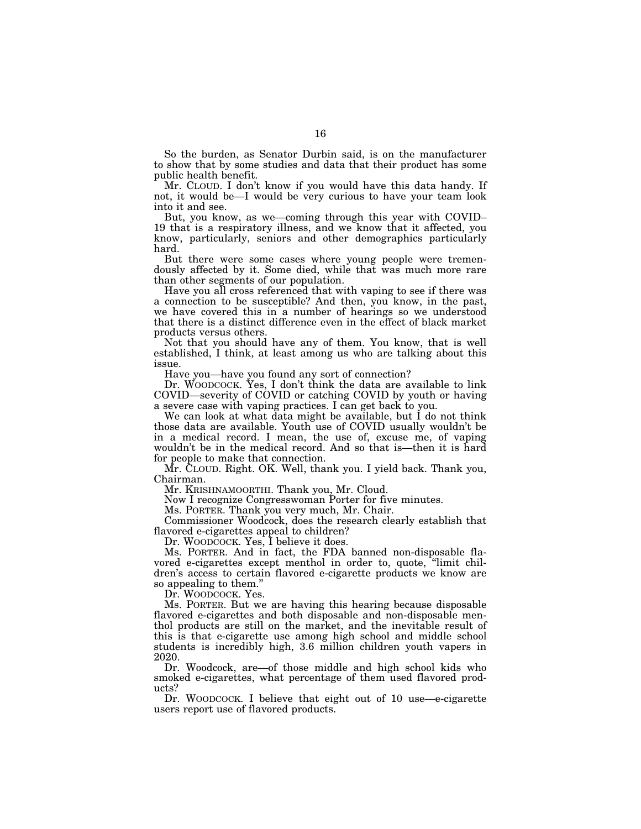So the burden, as Senator Durbin said, is on the manufacturer to show that by some studies and data that their product has some public health benefit.

Mr. CLOUD. I don't know if you would have this data handy. If not, it would be—I would be very curious to have your team look into it and see.

But, you know, as we—coming through this year with COVID– 19 that is a respiratory illness, and we know that it affected, you know, particularly, seniors and other demographics particularly hard.

But there were some cases where young people were tremendously affected by it. Some died, while that was much more rare than other segments of our population.

Have you all cross referenced that with vaping to see if there was a connection to be susceptible? And then, you know, in the past, we have covered this in a number of hearings so we understood that there is a distinct difference even in the effect of black market products versus others.

Not that you should have any of them. You know, that is well established, I think, at least among us who are talking about this issue.

Have you—have you found any sort of connection?

Dr. WOODCOCK. Yes, I don't think the data are available to link COVID—severity of COVID or catching COVID by youth or having a severe case with vaping practices. I can get back to you.

We can look at what data might be available, but I do not think those data are available. Youth use of COVID usually wouldn't be in a medical record. I mean, the use of, excuse me, of vaping wouldn't be in the medical record. And so that is—then it is hard for people to make that connection.

Mr. CLOUD. Right. OK. Well, thank you. I yield back. Thank you, Chairman.

Mr. KRISHNAMOORTHI. Thank you, Mr. Cloud.

Now I recognize Congresswoman Porter for five minutes.

Ms. PORTER. Thank you very much, Mr. Chair.

Commissioner Woodcock, does the research clearly establish that flavored e-cigarettes appeal to children?

Dr. WOODCOCK. Yes, I believe it does.

Ms. PORTER. And in fact, the FDA banned non-disposable flavored e-cigarettes except menthol in order to, quote, ''limit children's access to certain flavored e-cigarette products we know are so appealing to them.''

Dr. WOODCOCK. Yes.

Ms. PORTER. But we are having this hearing because disposable flavored e-cigarettes and both disposable and non-disposable menthol products are still on the market, and the inevitable result of this is that e-cigarette use among high school and middle school students is incredibly high, 3.6 million children youth vapers in 2020.

Dr. Woodcock, are—of those middle and high school kids who smoked e-cigarettes, what percentage of them used flavored products?

Dr. WOODCOCK. I believe that eight out of 10 use—e-cigarette users report use of flavored products.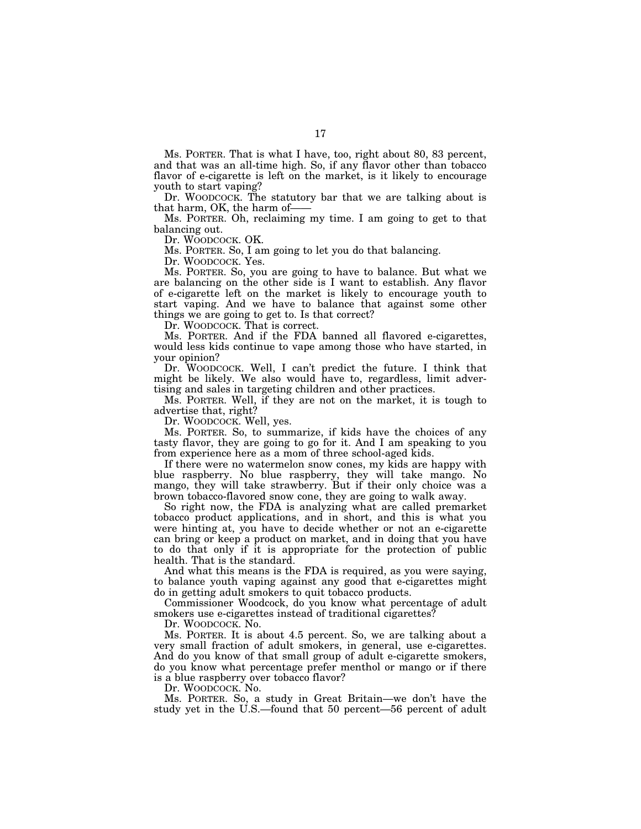Ms. PORTER. That is what I have, too, right about 80, 83 percent, and that was an all-time high. So, if any flavor other than tobacco flavor of e-cigarette is left on the market, is it likely to encourage youth to start vaping?

Dr. WOODCOCK. The statutory bar that we are talking about is that harm, OK, the harm of-

Ms. PORTER. Oh, reclaiming my time. I am going to get to that balancing out.

Dr. WOODCOCK. OK.

Ms. PORTER. So, I am going to let you do that balancing.

Dr. WOODCOCK. Yes.

Ms. PORTER. So, you are going to have to balance. But what we are balancing on the other side is I want to establish. Any flavor of e-cigarette left on the market is likely to encourage youth to start vaping. And we have to balance that against some other things we are going to get to. Is that correct?

Dr. WOODCOCK. That is correct.

Ms. PORTER. And if the FDA banned all flavored e-cigarettes, would less kids continue to vape among those who have started, in your opinion?

Dr. WOODCOCK. Well, I can't predict the future. I think that might be likely. We also would have to, regardless, limit advertising and sales in targeting children and other practices.

Ms. PORTER. Well, if they are not on the market, it is tough to advertise that, right?

Dr. WOODCOCK. Well, yes.

Ms. PORTER. So, to summarize, if kids have the choices of any tasty flavor, they are going to go for it. And I am speaking to you from experience here as a mom of three school-aged kids.

If there were no watermelon snow cones, my kids are happy with blue raspberry. No blue raspberry, they will take mango. No mango, they will take strawberry. But if their only choice was a brown tobacco-flavored snow cone, they are going to walk away.

So right now, the FDA is analyzing what are called premarket tobacco product applications, and in short, and this is what you were hinting at, you have to decide whether or not an e-cigarette can bring or keep a product on market, and in doing that you have to do that only if it is appropriate for the protection of public health. That is the standard.

And what this means is the FDA is required, as you were saying, to balance youth vaping against any good that e-cigarettes might do in getting adult smokers to quit tobacco products.

Commissioner Woodcock, do you know what percentage of adult smokers use e-cigarettes instead of traditional cigarettes?

Dr. WOODCOCK. No.

Ms. PORTER. It is about 4.5 percent. So, we are talking about a very small fraction of adult smokers, in general, use e-cigarettes. And do you know of that small group of adult e-cigarette smokers, do you know what percentage prefer menthol or mango or if there is a blue raspberry over tobacco flavor?

Dr. WOODCOCK. No.

Ms. PORTER. So, a study in Great Britain—we don't have the study yet in the U.S.—found that 50 percent—56 percent of adult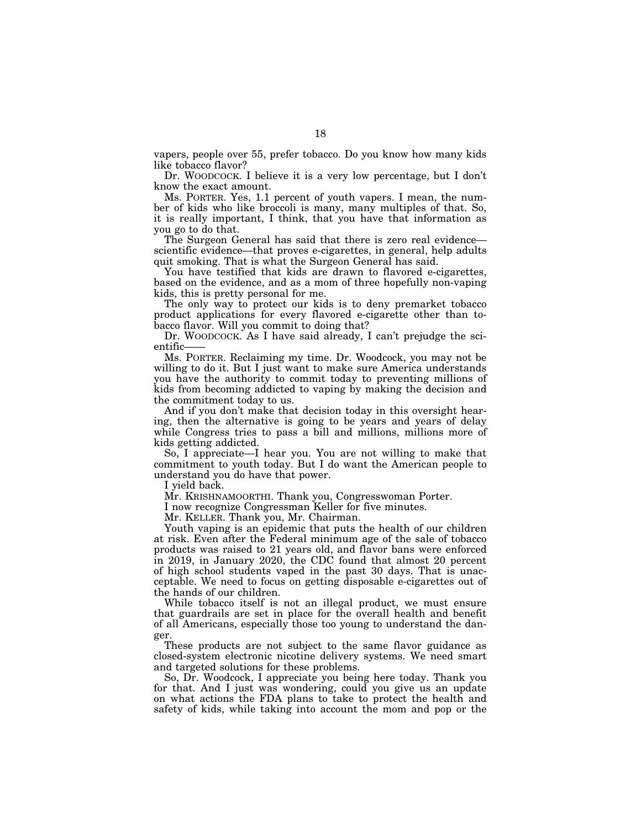vapers, people over 55, prefer tobacco. Do you know how many kids like tobacco flavor?

Dr. WOODCOCK. I believe it is a very low percentage, but I don't know the exact amount.

Ms. PORTER. Yes, 1.1 percent of youth vapers. I mean, the number of kids who like broccoli is many, many multiples of that. So, it is really important, I think, that you have that information as you go to do that.

The Surgeon General has said that there is zero real evidence scientific evidence—that proves e-cigarettes, in general, help adults quit smoking. That is what the Surgeon General has said.

You have testified that kids are drawn to flavored e-cigarettes, based on the evidence, and as a mom of three hopefully non-vaping kids, this is pretty personal for me.

The only way to protect our kids is to deny premarket tobacco product applications for every flavored e-cigarette other than tobacco flavor. Will you commit to doing that?

Dr. WOODCOCK. As I have said already, I can't prejudge the scientific–

Ms. PORTER. Reclaiming my time. Dr. Woodcock, you may not be willing to do it. But I just want to make sure America understands you have the authority to commit today to preventing millions of kids from becoming addicted to vaping by making the decision and the commitment today to us.

And if you don't make that decision today in this oversight hearing, then the alternative is going to be years and years of delay while Congress tries to pass a bill and millions, millions more of kids getting addicted.

So, I appreciate—I hear you. You are not willing to make that commitment to youth today. But I do want the American people to understand you do have that power.

I yield back.

Mr. KRISHNAMOORTHI. Thank you, Congresswoman Porter.

I now recognize Congressman Keller for five minutes.

Mr. KELLER. Thank you, Mr. Chairman.

Youth vaping is an epidemic that puts the health of our children at risk. Even after the Federal minimum age of the sale of tobacco products was raised to 21 years old, and flavor bans were enforced in 2019, in January 2020, the CDC found that almost 20 percent of high school students vaped in the past 30 days. That is unacceptable. We need to focus on getting disposable e-cigarettes out of the hands of our children.

While tobacco itself is not an illegal product, we must ensure that guardrails are set in place for the overall health and benefit of all Americans, especially those too young to understand the danger.

These products are not subject to the same flavor guidance as closed-system electronic nicotine delivery systems. We need smart and targeted solutions for these problems.

So, Dr. Woodcock, I appreciate you being here today. Thank you for that. And I just was wondering, could you give us an update on what actions the FDA plans to take to protect the health and safety of kids, while taking into account the mom and pop or the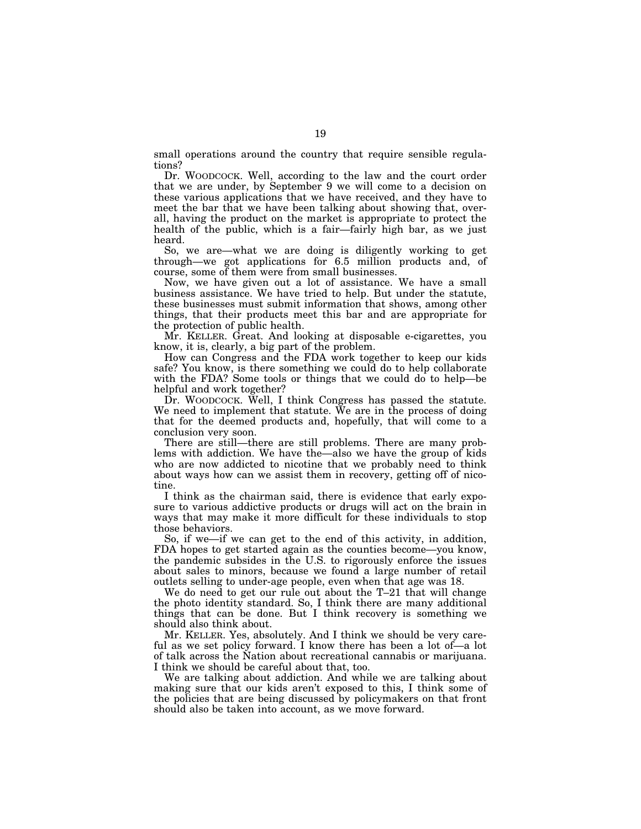small operations around the country that require sensible regulations?

Dr. WOODCOCK. Well, according to the law and the court order that we are under, by September 9 we will come to a decision on these various applications that we have received, and they have to meet the bar that we have been talking about showing that, overall, having the product on the market is appropriate to protect the health of the public, which is a fair—fairly high bar, as we just heard.

So, we are—what we are doing is diligently working to get through—we got applications for 6.5 million products and, of course, some of them were from small businesses.

Now, we have given out a lot of assistance. We have a small business assistance. We have tried to help. But under the statute, these businesses must submit information that shows, among other things, that their products meet this bar and are appropriate for the protection of public health.

Mr. KELLER. Great. And looking at disposable e-cigarettes, you know, it is, clearly, a big part of the problem.

How can Congress and the FDA work together to keep our kids safe? You know, is there something we could do to help collaborate with the FDA? Some tools or things that we could do to help—be helpful and work together?

Dr. WOODCOCK. Well, I think Congress has passed the statute. We need to implement that statute. We are in the process of doing that for the deemed products and, hopefully, that will come to a conclusion very soon.

There are still—there are still problems. There are many problems with addiction. We have the—also we have the group of kids who are now addicted to nicotine that we probably need to think about ways how can we assist them in recovery, getting off of nicotine.

I think as the chairman said, there is evidence that early exposure to various addictive products or drugs will act on the brain in ways that may make it more difficult for these individuals to stop those behaviors.

So, if we—if we can get to the end of this activity, in addition, FDA hopes to get started again as the counties become—you know, the pandemic subsides in the U.S. to rigorously enforce the issues about sales to minors, because we found a large number of retail outlets selling to under-age people, even when that age was 18.

We do need to get our rule out about the T–21 that will change the photo identity standard. So, I think there are many additional things that can be done. But I think recovery is something we should also think about.

Mr. KELLER. Yes, absolutely. And I think we should be very careful as we set policy forward. I know there has been a lot of—a lot of talk across the Nation about recreational cannabis or marijuana. I think we should be careful about that, too.

We are talking about addiction. And while we are talking about making sure that our kids aren't exposed to this, I think some of the policies that are being discussed by policymakers on that front should also be taken into account, as we move forward.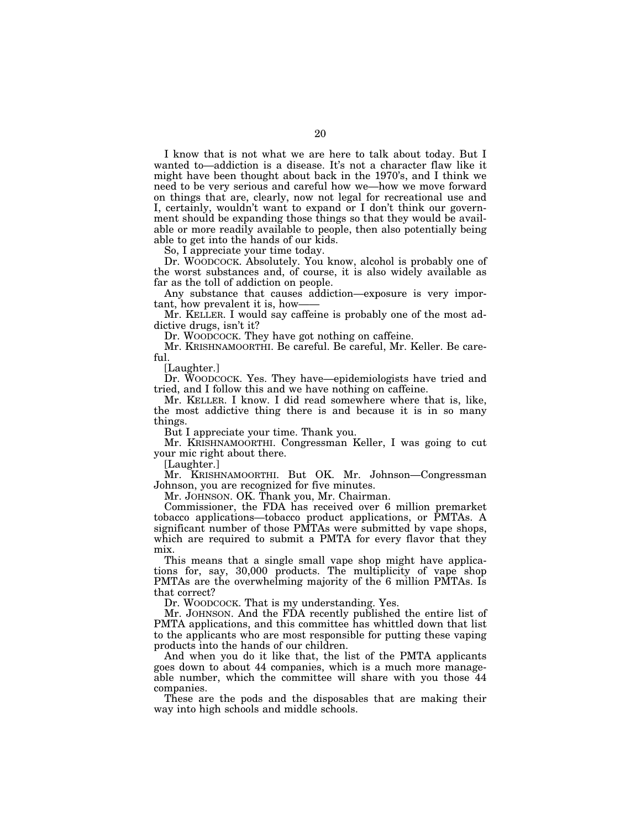I know that is not what we are here to talk about today. But I wanted to—addiction is a disease. It's not a character flaw like it might have been thought about back in the 1970's, and I think we need to be very serious and careful how we—how we move forward on things that are, clearly, now not legal for recreational use and I, certainly, wouldn't want to expand or I don't think our government should be expanding those things so that they would be available or more readily available to people, then also potentially being able to get into the hands of our kids.

So, I appreciate your time today.

Dr. WOODCOCK. Absolutely. You know, alcohol is probably one of the worst substances and, of course, it is also widely available as far as the toll of addiction on people.

Any substance that causes addiction—exposure is very important, how prevalent it is, how-

Mr. KELLER. I would say caffeine is probably one of the most addictive drugs, isn't it?

Dr. WOODCOCK. They have got nothing on caffeine.

Mr. KRISHNAMOORTHI. Be careful. Be careful, Mr. Keller. Be careful.

[Laughter.]

Dr. WOODCOCK. Yes. They have—epidemiologists have tried and tried, and I follow this and we have nothing on caffeine.

Mr. KELLER. I know. I did read somewhere where that is, like, the most addictive thing there is and because it is in so many things.

But I appreciate your time. Thank you.

Mr. KRISHNAMOORTHI. Congressman Keller, I was going to cut your mic right about there.

[Laughter.]

Mr. KRISHNAMOORTHI. But OK. Mr. Johnson—Congressman Johnson, you are recognized for five minutes.

Mr. JOHNSON. OK. Thank you, Mr. Chairman.

Commissioner, the FDA has received over 6 million premarket tobacco applications—tobacco product applications, or PMTAs. A significant number of those PMTAs were submitted by vape shops, which are required to submit a PMTA for every flavor that they mix.

This means that a single small vape shop might have applications for, say, 30,000 products. The multiplicity of vape shop PMTAs are the overwhelming majority of the 6 million PMTAs. Is that correct?

Dr. WOODCOCK. That is my understanding. Yes.

Mr. JOHNSON. And the FDA recently published the entire list of PMTA applications, and this committee has whittled down that list to the applicants who are most responsible for putting these vaping products into the hands of our children.

And when you do it like that, the list of the PMTA applicants goes down to about 44 companies, which is a much more manageable number, which the committee will share with you those 44 companies.

These are the pods and the disposables that are making their way into high schools and middle schools.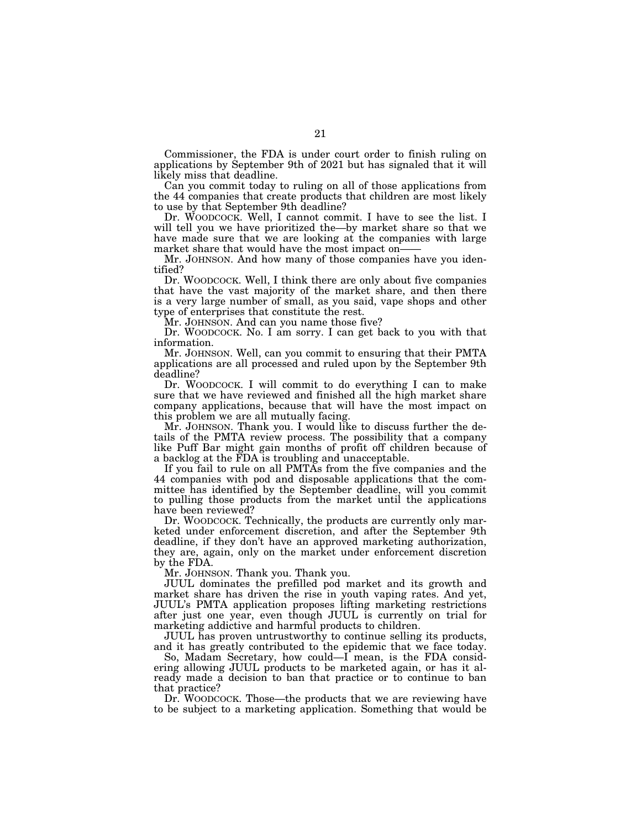Commissioner, the FDA is under court order to finish ruling on applications by September 9th of 2021 but has signaled that it will likely miss that deadline.

Can you commit today to ruling on all of those applications from the 44 companies that create products that children are most likely to use by that September 9th deadline?

Dr. WOODCOCK. Well, I cannot commit. I have to see the list. I will tell you we have prioritized the—by market share so that we have made sure that we are looking at the companies with large market share that would have the most impact on——

Mr. JOHNSON. And how many of those companies have you identified?

Dr. WOODCOCK. Well, I think there are only about five companies that have the vast majority of the market share, and then there is a very large number of small, as you said, vape shops and other type of enterprises that constitute the rest.

Mr. JOHNSON. And can you name those five?

Dr. WOODCOCK. No. I am sorry. I can get back to you with that information.

Mr. JOHNSON. Well, can you commit to ensuring that their PMTA applications are all processed and ruled upon by the September 9th deadline?

Dr. WOODCOCK. I will commit to do everything I can to make sure that we have reviewed and finished all the high market share company applications, because that will have the most impact on this problem we are all mutually facing.

Mr. JOHNSON. Thank you. I would like to discuss further the details of the PMTA review process. The possibility that a company like Puff Bar might gain months of profit off children because of a backlog at the FDA is troubling and unacceptable.

If you fail to rule on all PMTAs from the five companies and the 44 companies with pod and disposable applications that the committee has identified by the September deadline, will you commit to pulling those products from the market until the applications have been reviewed?

Dr. WOODCOCK. Technically, the products are currently only marketed under enforcement discretion, and after the September 9th deadline, if they don't have an approved marketing authorization, they are, again, only on the market under enforcement discretion by the FDA.

Mr. JOHNSON. Thank you. Thank you.

JUUL dominates the prefilled pod market and its growth and market share has driven the rise in youth vaping rates. And yet, JUUL's PMTA application proposes lifting marketing restrictions after just one year, even though JUUL is currently on trial for marketing addictive and harmful products to children.

JUUL has proven untrustworthy to continue selling its products, and it has greatly contributed to the epidemic that we face today.

So, Madam Secretary, how could—I mean, is the FDA considering allowing JUUL products to be marketed again, or has it already made a decision to ban that practice or to continue to ban that practice?

Dr. WOODCOCK. Those—the products that we are reviewing have to be subject to a marketing application. Something that would be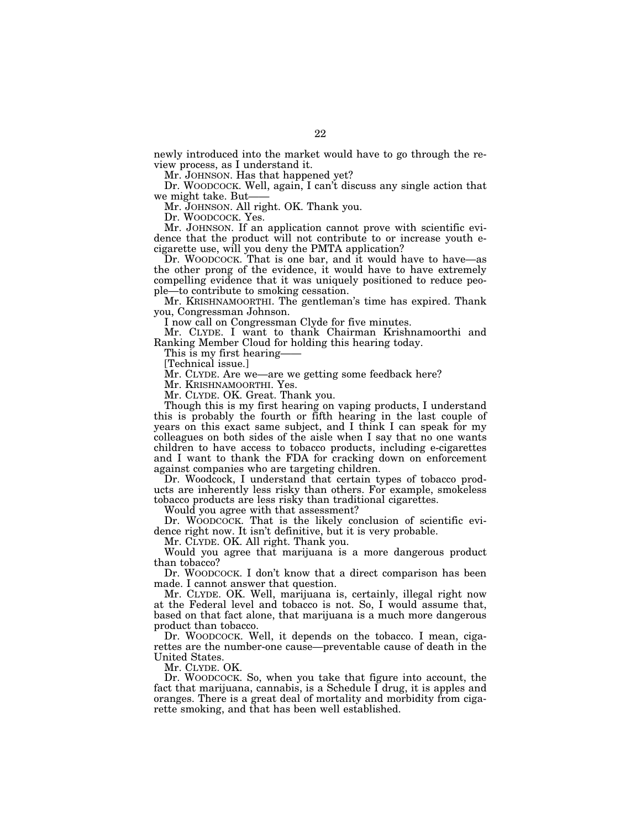newly introduced into the market would have to go through the review process, as I understand it.

Mr. JOHNSON. Has that happened yet?

Dr. WOODCOCK. Well, again, I can't discuss any single action that we might take. But-

Mr. JOHNSON. All right. OK. Thank you.

Dr. WOODCOCK. Yes.

Mr. JOHNSON. If an application cannot prove with scientific evidence that the product will not contribute to or increase youth ecigarette use, will you deny the PMTA application?

Dr. WOODCOCK. That is one bar, and it would have to have—as the other prong of the evidence, it would have to have extremely compelling evidence that it was uniquely positioned to reduce people—to contribute to smoking cessation.

Mr. KRISHNAMOORTHI. The gentleman's time has expired. Thank you, Congressman Johnson.

I now call on Congressman Clyde for five minutes.

Mr. CLYDE. I want to thank Chairman Krishnamoorthi and Ranking Member Cloud for holding this hearing today.

This is my first hearing——

[Technical issue.]

Mr. CLYDE. Are we—are we getting some feedback here?

Mr. KRISHNAMOORTHI. Yes.

Mr. CLYDE. OK. Great. Thank you.

Though this is my first hearing on vaping products, I understand this is probably the fourth or fifth hearing in the last couple of years on this exact same subject, and I think I can speak for my colleagues on both sides of the aisle when I say that no one wants children to have access to tobacco products, including e-cigarettes and I want to thank the FDA for cracking down on enforcement against companies who are targeting children.

Dr. Woodcock, I understand that certain types of tobacco products are inherently less risky than others. For example, smokeless tobacco products are less risky than traditional cigarettes.

Would you agree with that assessment?

Dr. WOODCOCK. That is the likely conclusion of scientific evidence right now. It isn't definitive, but it is very probable.

Mr. CLYDE. OK. All right. Thank you.

Would you agree that marijuana is a more dangerous product than tobacco?

Dr. WOODCOCK. I don't know that a direct comparison has been made. I cannot answer that question.

Mr. CLYDE. OK. Well, marijuana is, certainly, illegal right now at the Federal level and tobacco is not. So, I would assume that, based on that fact alone, that marijuana is a much more dangerous product than tobacco.

Dr. WOODCOCK. Well, it depends on the tobacco. I mean, cigarettes are the number-one cause—preventable cause of death in the United States.

Mr. CLYDE. OK.

Dr. WOODCOCK. So, when you take that figure into account, the fact that marijuana, cannabis, is a Schedule  $\overline{I}$  drug, it is apples and oranges. There is a great deal of mortality and morbidity from cigarette smoking, and that has been well established.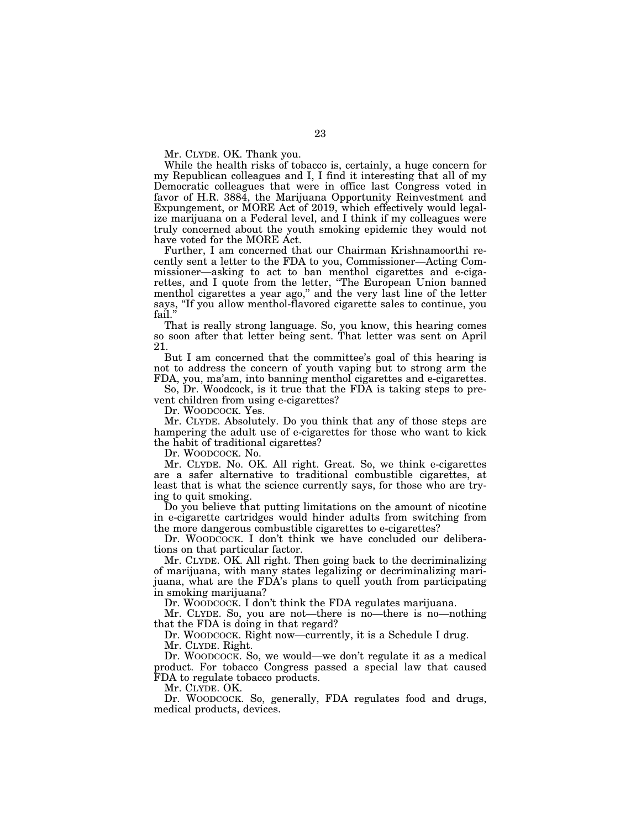Mr. CLYDE. OK. Thank you.

While the health risks of tobacco is, certainly, a huge concern for my Republican colleagues and I, I find it interesting that all of my Democratic colleagues that were in office last Congress voted in favor of H.R. 3884, the Marijuana Opportunity Reinvestment and Expungement, or MORE Act of 2019, which effectively would legalize marijuana on a Federal level, and I think if my colleagues were truly concerned about the youth smoking epidemic they would not have voted for the MORE Act.

Further, I am concerned that our Chairman Krishnamoorthi recently sent a letter to the FDA to you, Commissioner—Acting Commissioner—asking to act to ban menthol cigarettes and e-cigarettes, and I quote from the letter, ''The European Union banned menthol cigarettes a year ago,'' and the very last line of the letter says, ''If you allow menthol-flavored cigarette sales to continue, you fail.''

That is really strong language. So, you know, this hearing comes so soon after that letter being sent. That letter was sent on April 21.

But I am concerned that the committee's goal of this hearing is not to address the concern of youth vaping but to strong arm the FDA, you, ma'am, into banning menthol cigarettes and e-cigarettes.

So, Dr. Woodcock, is it true that the FDA is taking steps to prevent children from using e-cigarettes?

Dr. WOODCOCK. Yes.

Mr. CLYDE. Absolutely. Do you think that any of those steps are hampering the adult use of e-cigarettes for those who want to kick the habit of traditional cigarettes?

Dr. WOODCOCK. No.

Mr. CLYDE. No. OK. All right. Great. So, we think e-cigarettes are a safer alternative to traditional combustible cigarettes, at least that is what the science currently says, for those who are trying to quit smoking.

Do you believe that putting limitations on the amount of nicotine in e-cigarette cartridges would hinder adults from switching from the more dangerous combustible cigarettes to e-cigarettes?

Dr. WOODCOCK. I don't think we have concluded our deliberations on that particular factor.

Mr. CLYDE. OK. All right. Then going back to the decriminalizing of marijuana, with many states legalizing or decriminalizing marijuana, what are the FDA's plans to quell youth from participating in smoking marijuana?

Dr. WOODCOCK. I don't think the FDA regulates marijuana.

Mr. CLYDE. So, you are not—there is no—there is no—nothing that the FDA is doing in that regard?

Dr. WOODCOCK. Right now—currently, it is a Schedule I drug.

Mr. CLYDE. Right.

Dr. WOODCOCK. So, we would—we don't regulate it as a medical product. For tobacco Congress passed a special law that caused FDA to regulate tobacco products.

Mr. CLYDE. OK.

Dr. WOODCOCK. So, generally, FDA regulates food and drugs, medical products, devices.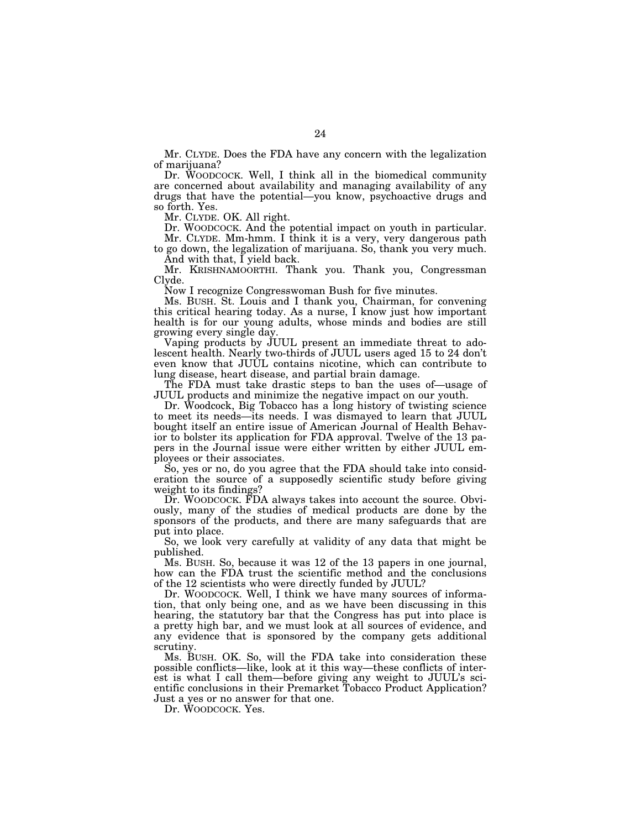Mr. CLYDE. Does the FDA have any concern with the legalization of marijuana?

Dr. WOODCOCK. Well, I think all in the biomedical community are concerned about availability and managing availability of any drugs that have the potential—you know, psychoactive drugs and so forth. Yes.

Mr. CLYDE. OK. All right.

Dr. WOODCOCK. And the potential impact on youth in particular. Mr. CLYDE. Mm-hmm. I think it is a very, very dangerous path

to go down, the legalization of marijuana. So, thank you very much. And with that, I yield back.

Mr. KRISHNAMOORTHI. Thank you. Thank you, Congressman Clyde.

Now I recognize Congresswoman Bush for five minutes.

Ms. BUSH. St. Louis and I thank you, Chairman, for convening this critical hearing today. As a nurse, I know just how important health is for our young adults, whose minds and bodies are still growing every single day.

Vaping products by JUUL present an immediate threat to adolescent health. Nearly two-thirds of JUUL users aged 15 to 24 don't even know that JUUL contains nicotine, which can contribute to lung disease, heart disease, and partial brain damage.

The FDA must take drastic steps to ban the uses of—usage of JUUL products and minimize the negative impact on our youth.

Dr. Woodcock, Big Tobacco has a long history of twisting science to meet its needs—its needs. I was dismayed to learn that JUUL bought itself an entire issue of American Journal of Health Behavior to bolster its application for FDA approval. Twelve of the 13 papers in the Journal issue were either written by either JUUL employees or their associates.

So, yes or no, do you agree that the FDA should take into consideration the source of a supposedly scientific study before giving weight to its findings?

Dr. WOODCOCK. FDA always takes into account the source. Obviously, many of the studies of medical products are done by the sponsors of the products, and there are many safeguards that are put into place.

So, we look very carefully at validity of any data that might be published.

Ms. BUSH. So, because it was 12 of the 13 papers in one journal, how can the FDA trust the scientific method and the conclusions of the 12 scientists who were directly funded by JUUL?

Dr. WOODCOCK. Well, I think we have many sources of information, that only being one, and as we have been discussing in this hearing, the statutory bar that the Congress has put into place is a pretty high bar, and we must look at all sources of evidence, and any evidence that is sponsored by the company gets additional scrutiny.

Ms. BUSH. OK. So, will the FDA take into consideration these possible conflicts—like, look at it this way—these conflicts of interest is what I call them—before giving any weight to JUUL's scientific conclusions in their Premarket Tobacco Product Application? Just a yes or no answer for that one.

Dr. WOODCOCK. Yes.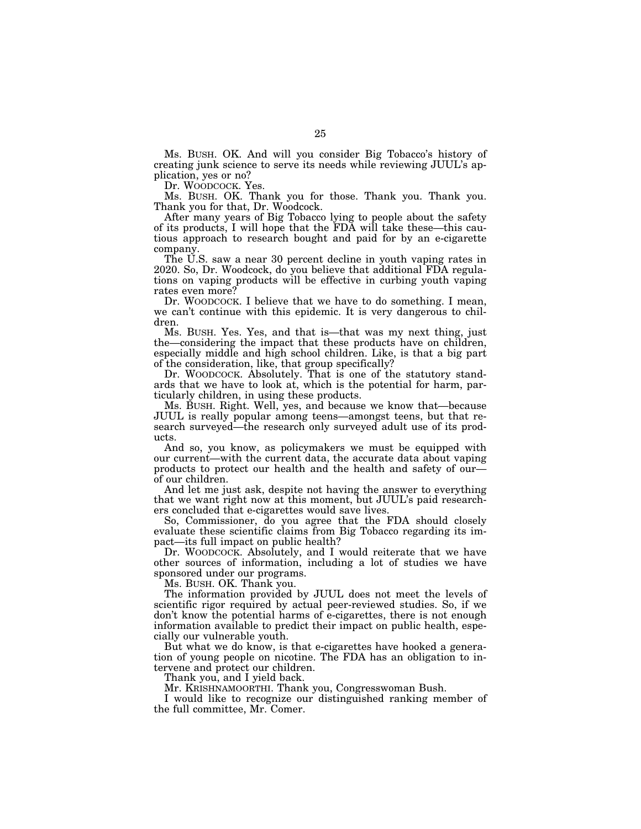Ms. BUSH. OK. And will you consider Big Tobacco's history of creating junk science to serve its needs while reviewing JUUL's application, yes or no?

Dr. WOODCOCK. Yes.

Ms. BUSH. OK. Thank you for those. Thank you. Thank you. Thank you for that, Dr. Woodcock.

After many years of Big Tobacco lying to people about the safety of its products, I will hope that the FDA will take these—this cautious approach to research bought and paid for by an e-cigarette company.

The U.S. saw a near 30 percent decline in youth vaping rates in 2020. So, Dr. Woodcock, do you believe that additional FDA regulations on vaping products will be effective in curbing youth vaping rates even more?

Dr. WOODCOCK. I believe that we have to do something. I mean, we can't continue with this epidemic. It is very dangerous to children.

Ms. BUSH. Yes. Yes, and that is—that was my next thing, just the—considering the impact that these products have on children, especially middle and high school children. Like, is that a big part of the consideration, like, that group specifically?

Dr. WOODCOCK. Absolutely. That is one of the statutory standards that we have to look at, which is the potential for harm, particularly children, in using these products.

Ms. BUSH. Right. Well, yes, and because we know that—because JUUL is really popular among teens—amongst teens, but that research surveyed—the research only surveyed adult use of its products.

And so, you know, as policymakers we must be equipped with our current—with the current data, the accurate data about vaping products to protect our health and the health and safety of our of our children.

And let me just ask, despite not having the answer to everything that we want right now at this moment, but JUUL's paid researchers concluded that e-cigarettes would save lives.

So, Commissioner, do you agree that the FDA should closely evaluate these scientific claims from Big Tobacco regarding its impact—its full impact on public health?

Dr. WOODCOCK. Absolutely, and I would reiterate that we have other sources of information, including a lot of studies we have sponsored under our programs.

Ms. BUSH. OK. Thank you.

The information provided by JUUL does not meet the levels of scientific rigor required by actual peer-reviewed studies. So, if we don't know the potential harms of e-cigarettes, there is not enough information available to predict their impact on public health, especially our vulnerable youth.

But what we do know, is that e-cigarettes have hooked a generation of young people on nicotine. The FDA has an obligation to intervene and protect our children.

Thank you, and I yield back.

Mr. KRISHNAMOORTHI. Thank you, Congresswoman Bush.

I would like to recognize our distinguished ranking member of the full committee, Mr. Comer.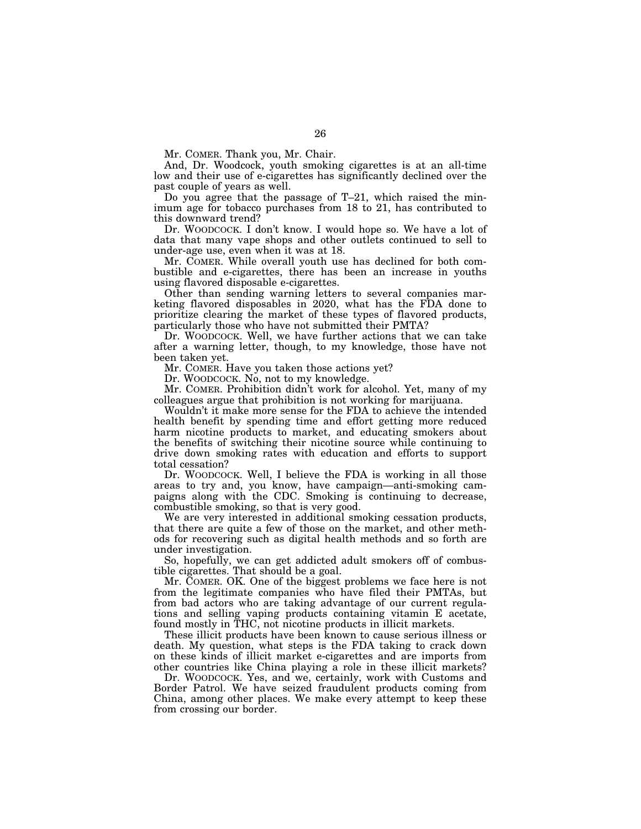Mr. COMER. Thank you, Mr. Chair.

And, Dr. Woodcock, youth smoking cigarettes is at an all-time low and their use of e-cigarettes has significantly declined over the past couple of years as well.

Do you agree that the passage of T–21, which raised the minimum age for tobacco purchases from 18 to 21, has contributed to this downward trend?

Dr. WOODCOCK. I don't know. I would hope so. We have a lot of data that many vape shops and other outlets continued to sell to under-age use, even when it was at 18.

Mr. COMER. While overall youth use has declined for both combustible and e-cigarettes, there has been an increase in youths using flavored disposable e-cigarettes.

Other than sending warning letters to several companies marketing flavored disposables in 2020, what has the FDA done to prioritize clearing the market of these types of flavored products, particularly those who have not submitted their PMTA?

Dr. WOODCOCK. Well, we have further actions that we can take after a warning letter, though, to my knowledge, those have not been taken yet.

Mr. COMER. Have you taken those actions yet?

Dr. WOODCOCK. No, not to my knowledge.

Mr. COMER. Prohibition didn't work for alcohol. Yet, many of my colleagues argue that prohibition is not working for marijuana.

Wouldn't it make more sense for the FDA to achieve the intended health benefit by spending time and effort getting more reduced harm nicotine products to market, and educating smokers about the benefits of switching their nicotine source while continuing to drive down smoking rates with education and efforts to support total cessation?

Dr. WOODCOCK. Well, I believe the FDA is working in all those areas to try and, you know, have campaign—anti-smoking campaigns along with the CDC. Smoking is continuing to decrease, combustible smoking, so that is very good.

We are very interested in additional smoking cessation products, that there are quite a few of those on the market, and other methods for recovering such as digital health methods and so forth are under investigation.

So, hopefully, we can get addicted adult smokers off of combustible cigarettes. That should be a goal.

Mr. COMER. OK. One of the biggest problems we face here is not from the legitimate companies who have filed their PMTAs, but from bad actors who are taking advantage of our current regulations and selling vaping products containing vitamin E acetate, found mostly in THC, not nicotine products in illicit markets.

These illicit products have been known to cause serious illness or death. My question, what steps is the FDA taking to crack down on these kinds of illicit market e-cigarettes and are imports from other countries like China playing a role in these illicit markets?

Dr. WOODCOCK. Yes, and we, certainly, work with Customs and Border Patrol. We have seized fraudulent products coming from China, among other places. We make every attempt to keep these from crossing our border.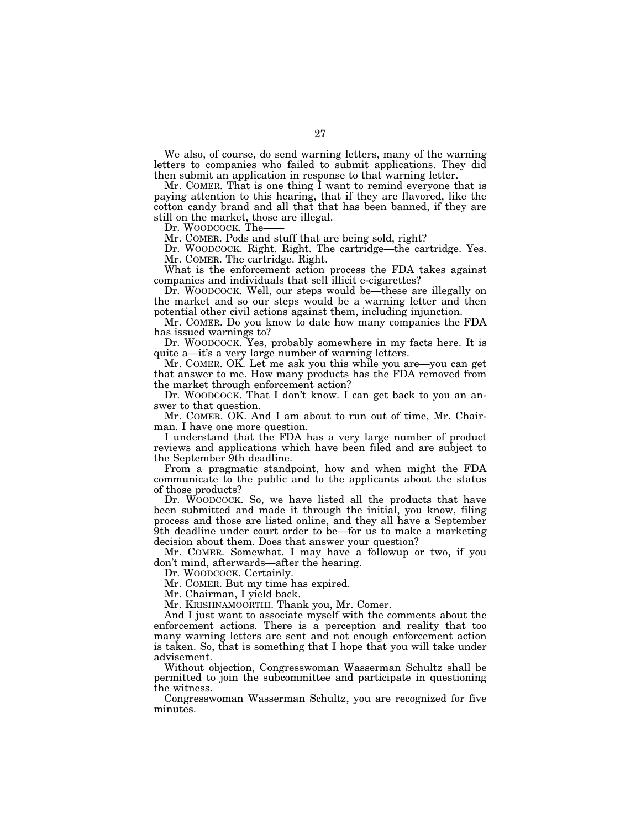We also, of course, do send warning letters, many of the warning letters to companies who failed to submit applications. They did then submit an application in response to that warning letter.

Mr. COMER. That is one thing I want to remind everyone that is paying attention to this hearing, that if they are flavored, like the cotton candy brand and all that that has been banned, if they are still on the market, those are illegal.

Dr. WOODCOCK. The-

Mr. COMER. Pods and stuff that are being sold, right?

Dr. WOODCOCK. Right. Right. The cartridge—the cartridge. Yes. Mr. COMER. The cartridge. Right.

What is the enforcement action process the FDA takes against companies and individuals that sell illicit e-cigarettes?

Dr. WOODCOCK. Well, our steps would be—these are illegally on the market and so our steps would be a warning letter and then potential other civil actions against them, including injunction.

Mr. COMER. Do you know to date how many companies the FDA has issued warnings to?

Dr. WOODCOCK. Yes, probably somewhere in my facts here. It is quite a—it's a very large number of warning letters.

Mr. COMER. OK. Let me ask you this while you are—you can get that answer to me. How many products has the FDA removed from the market through enforcement action?

Dr. WOODCOCK. That I don't know. I can get back to you an answer to that question.

Mr. COMER. OK. And I am about to run out of time, Mr. Chairman. I have one more question.

I understand that the FDA has a very large number of product reviews and applications which have been filed and are subject to the September 9th deadline.

From a pragmatic standpoint, how and when might the FDA communicate to the public and to the applicants about the status of those products?

Dr. WOODCOCK. So, we have listed all the products that have been submitted and made it through the initial, you know, filing process and those are listed online, and they all have a September 9th deadline under court order to be—for us to make a marketing decision about them. Does that answer your question?

Mr. COMER. Somewhat. I may have a followup or two, if you don't mind, afterwards—after the hearing.

Dr. WOODCOCK. Certainly.

Mr. COMER. But my time has expired.

Mr. Chairman, I yield back.

Mr. KRISHNAMOORTHI. Thank you, Mr. Comer.

And I just want to associate myself with the comments about the enforcement actions. There is a perception and reality that too many warning letters are sent and not enough enforcement action is taken. So, that is something that I hope that you will take under advisement.

Without objection, Congresswoman Wasserman Schultz shall be permitted to join the subcommittee and participate in questioning the witness.

Congresswoman Wasserman Schultz, you are recognized for five minutes.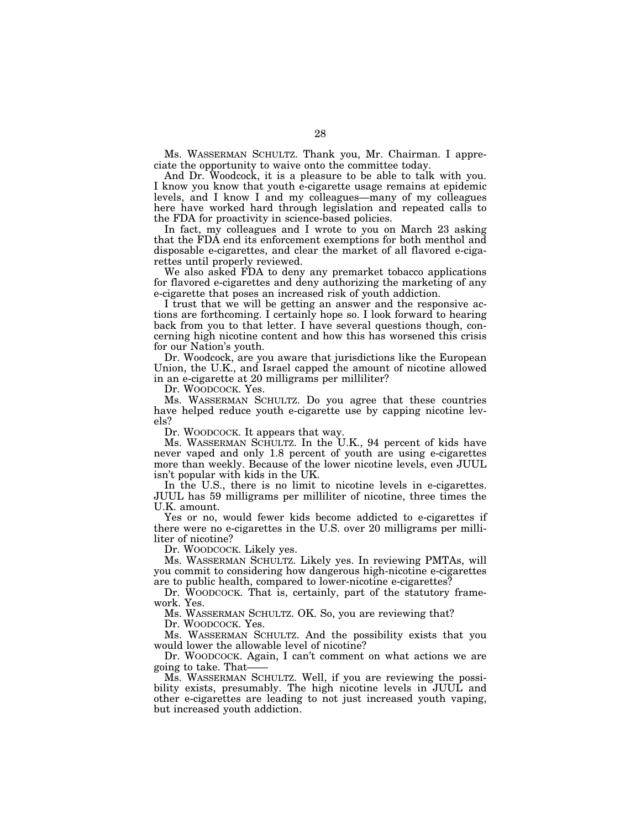Ms. WASSERMAN SCHULTZ. Thank you, Mr. Chairman. I appreciate the opportunity to waive onto the committee today.

And Dr. Woodcock, it is a pleasure to be able to talk with you. I know you know that youth e-cigarette usage remains at epidemic levels, and I know I and my colleagues—many of my colleagues here have worked hard through legislation and repeated calls to the FDA for proactivity in science-based policies.

In fact, my colleagues and I wrote to you on March 23 asking that the FDA end its enforcement exemptions for both menthol and disposable e-cigarettes, and clear the market of all flavored e-cigarettes until properly reviewed.

We also asked FDA to deny any premarket tobacco applications for flavored e-cigarettes and deny authorizing the marketing of any e-cigarette that poses an increased risk of youth addiction.

I trust that we will be getting an answer and the responsive actions are forthcoming. I certainly hope so. I look forward to hearing back from you to that letter. I have several questions though, concerning high nicotine content and how this has worsened this crisis for our Nation's youth.

Dr. Woodcock, are you aware that jurisdictions like the European Union, the U.K., and Israel capped the amount of nicotine allowed in an e-cigarette at 20 milligrams per milliliter?

Dr. WOODCOCK. Yes.

Ms. WASSERMAN SCHULTZ. Do you agree that these countries have helped reduce youth e-cigarette use by capping nicotine levels?

Dr. WOODCOCK. It appears that way.

Ms. WASSERMAN SCHULTZ. In the U.K., 94 percent of kids have never vaped and only 1.8 percent of youth are using e-cigarettes more than weekly. Because of the lower nicotine levels, even JUUL isn't popular with kids in the UK.

In the U.S., there is no limit to nicotine levels in e-cigarettes. JUUL has 59 milligrams per milliliter of nicotine, three times the U.K. amount.

Yes or no, would fewer kids become addicted to e-cigarettes if there were no e-cigarettes in the U.S. over 20 milligrams per milliliter of nicotine?

Dr. WOODCOCK. Likely yes.

Ms. WASSERMAN SCHULTZ. Likely yes. In reviewing PMTAs, will you commit to considering how dangerous high-nicotine e-cigarettes are to public health, compared to lower-nicotine e-cigarettes?

Dr. WOODCOCK. That is, certainly, part of the statutory framework. Yes.

Ms. WASSERMAN SCHULTZ. OK. So, you are reviewing that?

Dr. WOODCOCK. Yes.

Ms. WASSERMAN SCHULTZ. And the possibility exists that you would lower the allowable level of nicotine?

Dr. WOODCOCK. Again, I can't comment on what actions we are going to take. That——

Ms. WASSERMAN SCHULTZ. Well, if you are reviewing the possibility exists, presumably. The high nicotine levels in JUUL and other e-cigarettes are leading to not just increased youth vaping, but increased youth addiction.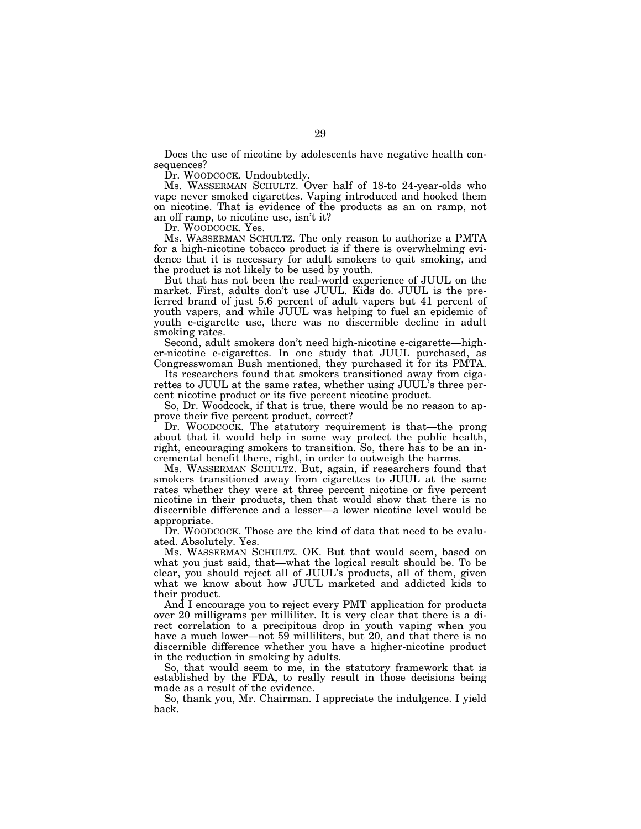Does the use of nicotine by adolescents have negative health consequences?

Dr. WOODCOCK. Undoubtedly.

Ms. WASSERMAN SCHULTZ. Over half of 18-to 24-year-olds who vape never smoked cigarettes. Vaping introduced and hooked them on nicotine. That is evidence of the products as an on ramp, not an off ramp, to nicotine use, isn't it?

Dr. WOODCOCK. Yes.

Ms. WASSERMAN SCHULTZ. The only reason to authorize a PMTA for a high-nicotine tobacco product is if there is overwhelming evidence that it is necessary for adult smokers to quit smoking, and the product is not likely to be used by youth.

But that has not been the real-world experience of JUUL on the market. First, adults don't use JUUL. Kids do. JUUL is the preferred brand of just 5.6 percent of adult vapers but 41 percent of youth vapers, and while JUUL was helping to fuel an epidemic of youth e-cigarette use, there was no discernible decline in adult smoking rates.

Second, adult smokers don't need high-nicotine e-cigarette—higher-nicotine e-cigarettes. In one study that JUUL purchased, as Congresswoman Bush mentioned, they purchased it for its PMTA.

Its researchers found that smokers transitioned away from cigarettes to JUUL at the same rates, whether using JUUL's three percent nicotine product or its five percent nicotine product.

So, Dr. Woodcock, if that is true, there would be no reason to approve their five percent product, correct?

Dr. WOODCOCK. The statutory requirement is that—the prong about that it would help in some way protect the public health, right, encouraging smokers to transition. So, there has to be an incremental benefit there, right, in order to outweigh the harms.

Ms. WASSERMAN SCHULTZ. But, again, if researchers found that smokers transitioned away from cigarettes to JUUL at the same rates whether they were at three percent nicotine or five percent nicotine in their products, then that would show that there is no discernible difference and a lesser—a lower nicotine level would be appropriate.

Dr. WOODCOCK. Those are the kind of data that need to be evaluated. Absolutely. Yes.

Ms. WASSERMAN SCHULTZ. OK. But that would seem, based on what you just said, that—what the logical result should be. To be clear, you should reject all of JUUL's products, all of them, given what we know about how JUUL marketed and addicted kids to their product.

And I encourage you to reject every PMT application for products over 20 milligrams per milliliter. It is very clear that there is a direct correlation to a precipitous drop in youth vaping when you have a much lower—not 59 milliliters, but 20, and that there is no discernible difference whether you have a higher-nicotine product in the reduction in smoking by adults.

So, that would seem to me, in the statutory framework that is established by the FDA, to really result in those decisions being made as a result of the evidence.

So, thank you, Mr. Chairman. I appreciate the indulgence. I yield back.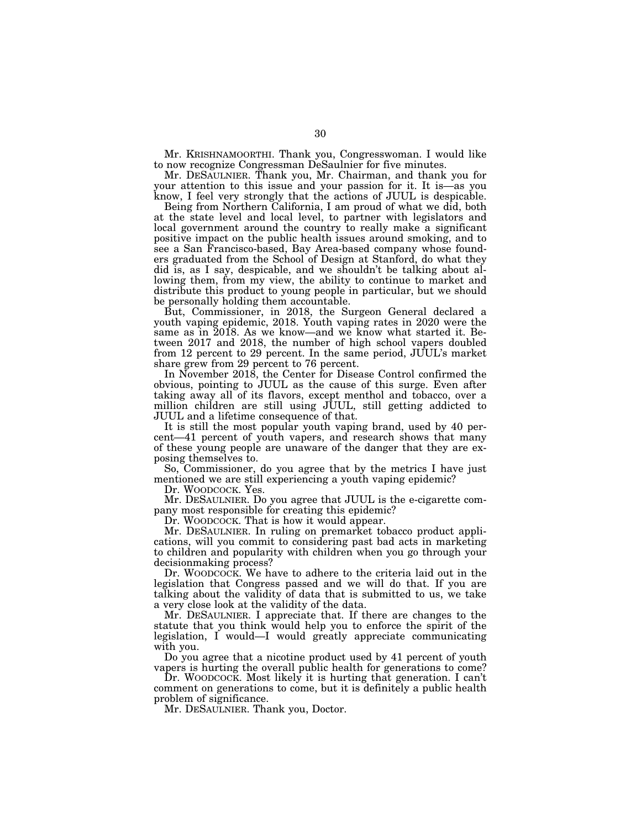Mr. KRISHNAMOORTHI. Thank you, Congresswoman. I would like to now recognize Congressman DeSaulnier for five minutes.

Mr. DESAULNIER. Thank you, Mr. Chairman, and thank you for your attention to this issue and your passion for it. It is—as you know, I feel very strongly that the actions of JUUL is despicable.

Being from Northern California, I am proud of what we did, both at the state level and local level, to partner with legislators and local government around the country to really make a significant positive impact on the public health issues around smoking, and to see a San Francisco-based, Bay Area-based company whose founders graduated from the School of Design at Stanford, do what they did is, as I say, despicable, and we shouldn't be talking about allowing them, from my view, the ability to continue to market and distribute this product to young people in particular, but we should be personally holding them accountable.

But, Commissioner, in 2018, the Surgeon General declared a youth vaping epidemic, 2018. Youth vaping rates in 2020 were the same as in 2018. As we know—and we know what started it. Between 2017 and 2018, the number of high school vapers doubled from 12 percent to 29 percent. In the same period, JUUL's market share grew from 29 percent to 76 percent.

In November 2018, the Center for Disease Control confirmed the obvious, pointing to JUUL as the cause of this surge. Even after taking away all of its flavors, except menthol and tobacco, over a million children are still using JUUL, still getting addicted to JUUL and a lifetime consequence of that.

It is still the most popular youth vaping brand, used by 40 percent—41 percent of youth vapers, and research shows that many of these young people are unaware of the danger that they are exposing themselves to.

So, Commissioner, do you agree that by the metrics I have just mentioned we are still experiencing a youth vaping epidemic?

Dr. WOODCOCK. Yes.

Mr. DESAULNIER. Do you agree that JUUL is the e-cigarette company most responsible for creating this epidemic?

Dr. WOODCOCK. That is how it would appear.

Mr. DESAULNIER. In ruling on premarket tobacco product applications, will you commit to considering past bad acts in marketing to children and popularity with children when you go through your decisionmaking process?

Dr. WOODCOCK. We have to adhere to the criteria laid out in the legislation that Congress passed and we will do that. If you are talking about the validity of data that is submitted to us, we take a very close look at the validity of the data.

Mr. DESAULNIER. I appreciate that. If there are changes to the statute that you think would help you to enforce the spirit of the legislation, I would—I would greatly appreciate communicating with you.

Do you agree that a nicotine product used by 41 percent of youth vapers is hurting the overall public health for generations to come?

Dr. WOODCOCK. Most likely it is hurting that generation. I can't comment on generations to come, but it is definitely a public health problem of significance.

Mr. DESAULNIER. Thank you, Doctor.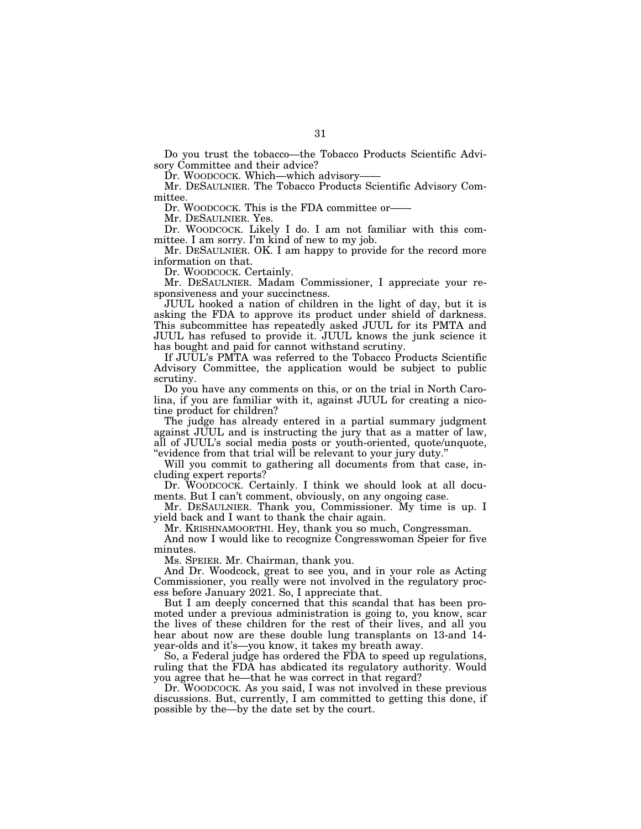Do you trust the tobacco—the Tobacco Products Scientific Advisory Committee and their advice?

Dr. WOODCOCK. Which—which advisory—

Mr. DESAULNIER. The Tobacco Products Scientific Advisory Committee.

Dr. WOODCOCK. This is the FDA committee or-

Mr. DESAULNIER. Yes.

Dr. WOODCOCK. Likely I do. I am not familiar with this committee. I am sorry. I'm kind of new to my job.

Mr. DESAULNIER. OK. I am happy to provide for the record more information on that.

Dr. WOODCOCK. Certainly.

Mr. DESAULNIER. Madam Commissioner, I appreciate your responsiveness and your succinctness.

JUUL hooked a nation of children in the light of day, but it is asking the FDA to approve its product under shield of darkness. This subcommittee has repeatedly asked JUUL for its PMTA and JUUL has refused to provide it. JUUL knows the junk science it has bought and paid for cannot withstand scrutiny.

If JUUL's PMTA was referred to the Tobacco Products Scientific Advisory Committee, the application would be subject to public scrutiny.

Do you have any comments on this, or on the trial in North Carolina, if you are familiar with it, against JUUL for creating a nicotine product for children?

The judge has already entered in a partial summary judgment against JUUL and is instructing the jury that as a matter of law, all of JUUL's social media posts or youth-oriented, quote/unquote, ''evidence from that trial will be relevant to your jury duty.''

Will you commit to gathering all documents from that case, including expert reports?

Dr. WOODCOCK. Certainly. I think we should look at all documents. But I can't comment, obviously, on any ongoing case.

Mr. DESAULNIER. Thank you, Commissioner. My time is up. I yield back and I want to thank the chair again.

Mr. KRISHNAMOORTHI. Hey, thank you so much, Congressman.

And now I would like to recognize Congresswoman Speier for five minutes.

Ms. SPEIER. Mr. Chairman, thank you.

And Dr. Woodcock, great to see you, and in your role as Acting Commissioner, you really were not involved in the regulatory process before January 2021. So, I appreciate that.

But I am deeply concerned that this scandal that has been promoted under a previous administration is going to, you know, scar the lives of these children for the rest of their lives, and all you hear about now are these double lung transplants on 13-and 14 year-olds and it's—you know, it takes my breath away.

So, a Federal judge has ordered the FDA to speed up regulations, ruling that the FDA has abdicated its regulatory authority. Would you agree that he—that he was correct in that regard?

Dr. WOODCOCK. As you said, I was not involved in these previous discussions. But, currently, I am committed to getting this done, if possible by the—by the date set by the court.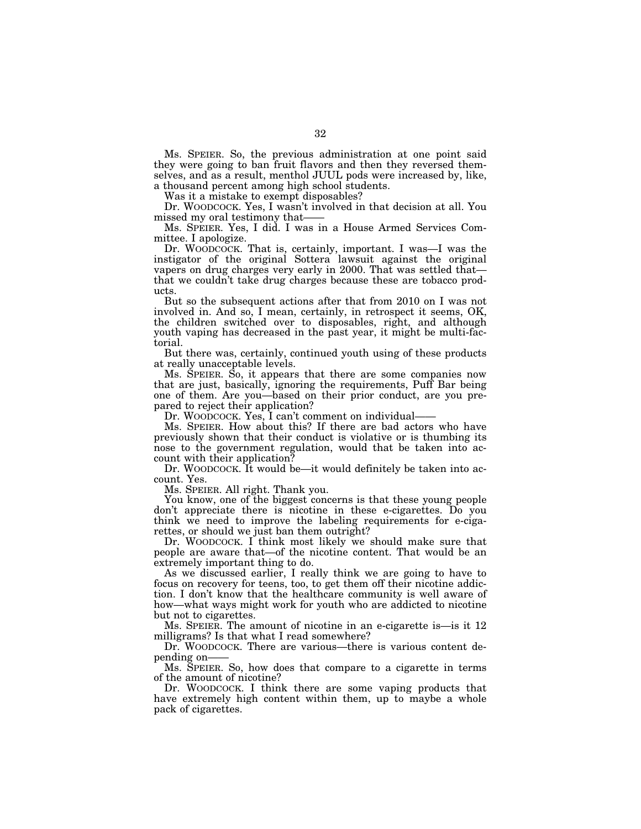Ms. SPEIER. So, the previous administration at one point said they were going to ban fruit flavors and then they reversed themselves, and as a result, menthol JUUL pods were increased by, like, a thousand percent among high school students.

Was it a mistake to exempt disposables?

Dr. WOODCOCK. Yes, I wasn't involved in that decision at all. You missed my oral testimony that——

Ms. SPEIER. Yes, I did. I was in a House Armed Services Committee. I apologize.

Dr. WOODCOCK. That is, certainly, important. I was—I was the instigator of the original Sottera lawsuit against the original vapers on drug charges very early in 2000. That was settled that that we couldn't take drug charges because these are tobacco products.

But so the subsequent actions after that from 2010 on I was not involved in. And so, I mean, certainly, in retrospect it seems, OK, the children switched over to disposables, right, and although youth vaping has decreased in the past year, it might be multi-factorial.

But there was, certainly, continued youth using of these products at really unacceptable levels.

Ms. SPEIER. So, it appears that there are some companies now that are just, basically, ignoring the requirements, Puff Bar being one of them. Are you—based on their prior conduct, are you prepared to reject their application?

Dr. WOODCOCK. Yes, I can't comment on individual

Ms. SPEIER. How about this? If there are bad actors who have previously shown that their conduct is violative or is thumbing its nose to the government regulation, would that be taken into account with their application?

Dr. WOODCOCK. It would be—it would definitely be taken into account. Yes.

Ms. SPEIER. All right. Thank you.

You know, one of the biggest concerns is that these young people don't appreciate there is nicotine in these e-cigarettes. Do you think we need to improve the labeling requirements for e-cigarettes, or should we just ban them outright?

Dr. WOODCOCK. I think most likely we should make sure that people are aware that—of the nicotine content. That would be an extremely important thing to do.

As we discussed earlier, I really think we are going to have to focus on recovery for teens, too, to get them off their nicotine addiction. I don't know that the healthcare community is well aware of how—what ways might work for youth who are addicted to nicotine but not to cigarettes.

Ms. SPEIER. The amount of nicotine in an e-cigarette is—is it 12 milligrams? Is that what I read somewhere?

Dr. WOODCOCK. There are various—there is various content depending on——

Ms. SPEIER. So, how does that compare to a cigarette in terms of the amount of nicotine?

Dr. WOODCOCK. I think there are some vaping products that have extremely high content within them, up to maybe a whole pack of cigarettes.